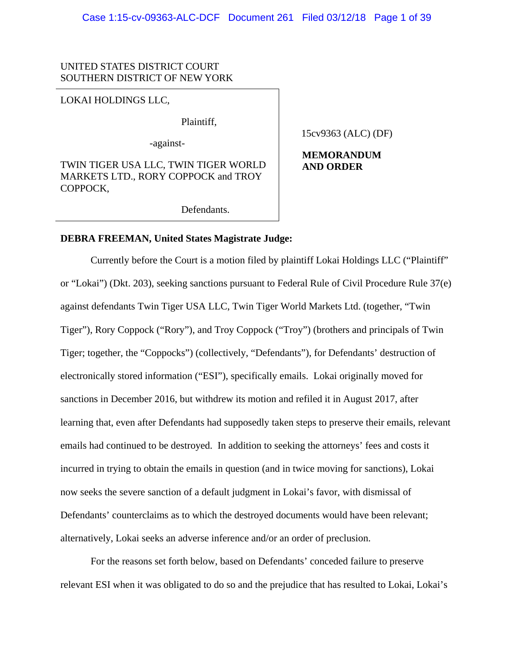## UNITED STATES DISTRICT COURT SOUTHERN DISTRICT OF NEW YORK

LOKAI HOLDINGS LLC,

Plaintiff,

-against-

TWIN TIGER USA LLC, TWIN TIGER WORLD MARKETS LTD., RORY COPPOCK and TROY COPPOCK,

15cv9363 (ALC) (DF)

**MEMORANDUM AND ORDER**

Defendants.

### **DEBRA FREEMAN, United States Magistrate Judge:**

Currently before the Court is a motion filed by plaintiff Lokai Holdings LLC ("Plaintiff" or "Lokai") (Dkt. 203), seeking sanctions pursuant to Federal Rule of Civil Procedure Rule 37(e) against defendants Twin Tiger USA LLC, Twin Tiger World Markets Ltd. (together, "Twin Tiger"), Rory Coppock ("Rory"), and Troy Coppock ("Troy") (brothers and principals of Twin Tiger; together, the "Coppocks") (collectively, "Defendants"), for Defendants' destruction of electronically stored information ("ESI"), specifically emails. Lokai originally moved for sanctions in December 2016, but withdrew its motion and refiled it in August 2017, after learning that, even after Defendants had supposedly taken steps to preserve their emails, relevant emails had continued to be destroyed. In addition to seeking the attorneys' fees and costs it incurred in trying to obtain the emails in question (and in twice moving for sanctions), Lokai now seeks the severe sanction of a default judgment in Lokai's favor, with dismissal of Defendants' counterclaims as to which the destroyed documents would have been relevant; alternatively, Lokai seeks an adverse inference and/or an order of preclusion.

For the reasons set forth below, based on Defendants' conceded failure to preserve relevant ESI when it was obligated to do so and the prejudice that has resulted to Lokai, Lokai's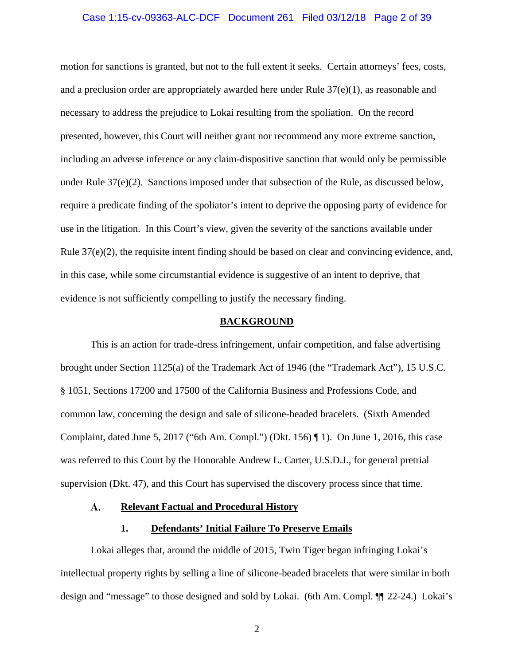# Case 1:15-cv-09363-ALC-DCF Document 261 Filed 03/12/18 Page 2 of 39

motion for sanctions is granted, but not to the full extent it seeks. Certain attorneys' fees, costs, and a preclusion order are appropriately awarded here under Rule  $37(e)(1)$ , as reasonable and necessary to address the prejudice to Lokai resulting from the spoliation. On the record presented, however, this Court will neither grant nor recommend any more extreme sanction, including an adverse inference or any claim-dispositive sanction that would only be permissible under Rule 37(e)(2). Sanctions imposed under that subsection of the Rule, as discussed below, require a predicate finding of the spoliator's intent to deprive the opposing party of evidence for use in the litigation. In this Court's view, given the severity of the sanctions available under Rule 37(e)(2), the requisite intent finding should be based on clear and convincing evidence, and, in this case, while some circumstantial evidence is suggestive of an intent to deprive, that evidence is not sufficiently compelling to justify the necessary finding.

#### **BACKGROUND**

This is an action for trade-dress infringement, unfair competition, and false advertising brought under Section 1125(a) of the Trademark Act of 1946 (the "Trademark Act"), 15 U.S.C. § 1051, Sections 17200 and 17500 of the California Business and Professions Code, and common law, concerning the design and sale of silicone-beaded bracelets. (Sixth Amended Complaint, dated June 5, 2017 ("6th Am. Compl.") (Dkt. 156)  $\P$ 1). On June 1, 2016, this case was referred to this Court by the Honorable Andrew L. Carter, U.S.D.J., for general pretrial supervision (Dkt. 47), and this Court has supervised the discovery process since that time.

#### A. **Relevant Factual and Procedural History**

### **1. Defendants' Initial Failure To Preserve Emails**

Lokai alleges that, around the middle of 2015, Twin Tiger began infringing Lokai's intellectual property rights by selling a line of silicone-beaded bracelets that were similar in both design and "message" to those designed and sold by Lokai. (6th Am. Compl. ¶¶ 22-24.) Lokai's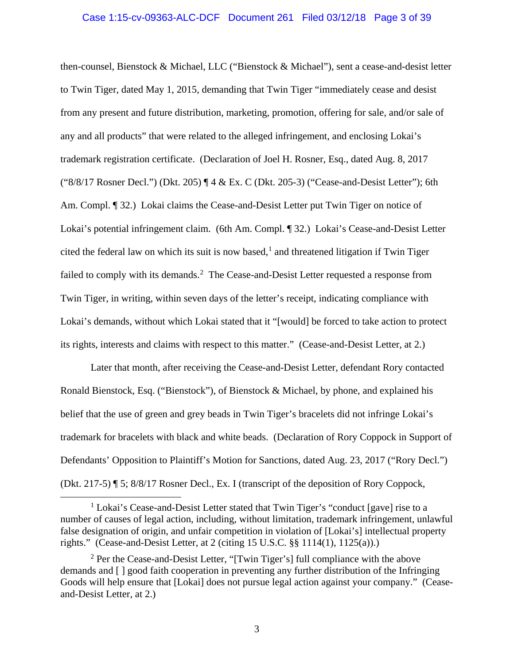then-counsel, Bienstock & Michael, LLC ("Bienstock & Michael"), sent a cease-and-desist letter to Twin Tiger, dated May 1, 2015, demanding that Twin Tiger "immediately cease and desist from any present and future distribution, marketing, promotion, offering for sale, and/or sale of any and all products" that were related to the alleged infringement, and enclosing Lokai's trademark registration certificate. (Declaration of Joel H. Rosner, Esq., dated Aug. 8, 2017 ("8/8/17 Rosner Decl.") (Dkt. 205) ¶ 4 & Ex. C (Dkt. 205-3) ("Cease-and-Desist Letter"); 6th Am. Compl. [9] 32.) Lokai claims the Cease-and-Desist Letter put Twin Tiger on notice of Lokai's potential infringement claim. (6th Am. Compl. ¶ 32.) Lokai's Cease-and-Desist Letter cited the federal law on which its suit is now based, [1](#page-2-0) and threatened litigation if Twin Tiger failed to comply with its demands.<sup>[2](#page-2-1)</sup> The Cease-and-Desist Letter requested a response from Twin Tiger, in writing, within seven days of the letter's receipt, indicating compliance with Lokai's demands, without which Lokai stated that it "[would] be forced to take action to protect its rights, interests and claims with respect to this matter." (Cease-and-Desist Letter, at 2.)

Later that month, after receiving the Cease-and-Desist Letter, defendant Rory contacted Ronald Bienstock, Esq. ("Bienstock"), of Bienstock & Michael, by phone, and explained his belief that the use of green and grey beads in Twin Tiger's bracelets did not infringe Lokai's trademark for bracelets with black and white beads. (Declaration of Rory Coppock in Support of Defendants' Opposition to Plaintiff's Motion for Sanctions, dated Aug. 23, 2017 ("Rory Decl.") (Dkt. 217-5) ¶ 5; 8/8/17 Rosner Decl., Ex. I (transcript of the deposition of Rory Coppock,

<span id="page-2-0"></span><sup>&</sup>lt;sup>1</sup> Lokai's Cease-and-Desist Letter stated that Twin Tiger's "conduct [gave] rise to a number of causes of legal action, including, without limitation, trademark infringement, unlawful false designation of origin, and unfair competition in violation of [Lokai's] intellectual property rights." (Cease-and-Desist Letter, at 2 (citing 15 U.S.C. §§ 1114(1), 1125(a)).)

<span id="page-2-1"></span> $2$  Per the Cease-and-Desist Letter, "[Twin Tiger's] full compliance with the above demands and [ ] good faith cooperation in preventing any further distribution of the Infringing Goods will help ensure that [Lokai] does not pursue legal action against your company." (Ceaseand-Desist Letter, at 2.)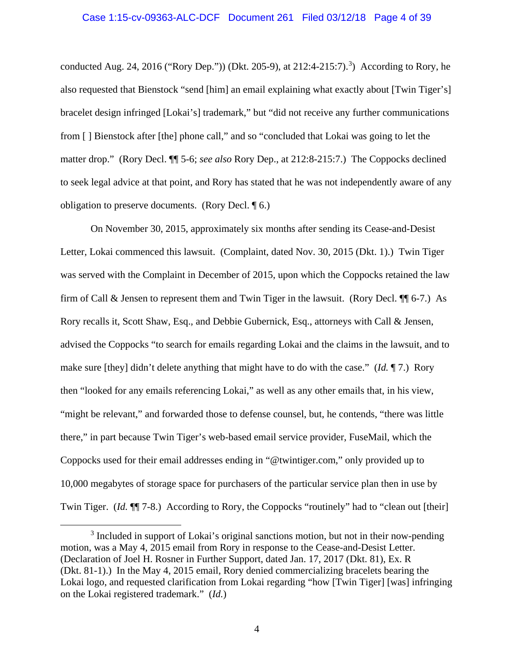# Case 1:15-cv-09363-ALC-DCF Document 261 Filed 03/12/18 Page 4 of 39

conducted Aug. 24, 2016 ("Rory Dep.")) (Dkt. 205-9), at  $212:4-215:7$ ).<sup>[3](#page-3-0)</sup>) According to Rory, he also requested that Bienstock "send [him] an email explaining what exactly about [Twin Tiger's] bracelet design infringed [Lokai's] trademark," but "did not receive any further communications from [ ] Bienstock after [the] phone call," and so "concluded that Lokai was going to let the matter drop." (Rory Decl. ¶¶ 5-6; *see also* Rory Dep., at 212:8-215:7.) The Coppocks declined to seek legal advice at that point, and Rory has stated that he was not independently aware of any obligation to preserve documents. (Rory Decl. ¶ 6.)

On November 30, 2015, approximately six months after sending its Cease-and-Desist Letter, Lokai commenced this lawsuit. (Complaint, dated Nov. 30, 2015 (Dkt. 1).) Twin Tiger was served with the Complaint in December of 2015, upon which the Coppocks retained the law firm of Call & Jensen to represent them and Twin Tiger in the lawsuit. (Rory Decl.  $\P$  6-7.) As Rory recalls it, Scott Shaw, Esq., and Debbie Gubernick, Esq., attorneys with Call & Jensen, advised the Coppocks "to search for emails regarding Lokai and the claims in the lawsuit, and to make sure [they] didn't delete anything that might have to do with the case." (*Id.* ¶ 7.) Rory then "looked for any emails referencing Lokai," as well as any other emails that, in his view, "might be relevant," and forwarded those to defense counsel, but, he contends, "there was little there," in part because Twin Tiger's web-based email service provider, FuseMail, which the Coppocks used for their email addresses ending in "@twintiger.com," only provided up to 10,000 megabytes of storage space for purchasers of the particular service plan then in use by Twin Tiger. (*Id.*  $\P$ <sup> $\parallel$ </sup> 7-8.) According to Rory, the Coppocks "routinely" had to "clean out [their]

<span id="page-3-0"></span><sup>&</sup>lt;sup>3</sup> Included in support of Lokai's original sanctions motion, but not in their now-pending motion, was a May 4, 2015 email from Rory in response to the Cease-and-Desist Letter. (Declaration of Joel H. Rosner in Further Support, dated Jan. 17, 2017 (Dkt. 81), Ex. R (Dkt. 81-1).) In the May 4, 2015 email, Rory denied commercializing bracelets bearing the Lokai logo, and requested clarification from Lokai regarding "how [Twin Tiger] [was] infringing on the Lokai registered trademark." (*Id.*)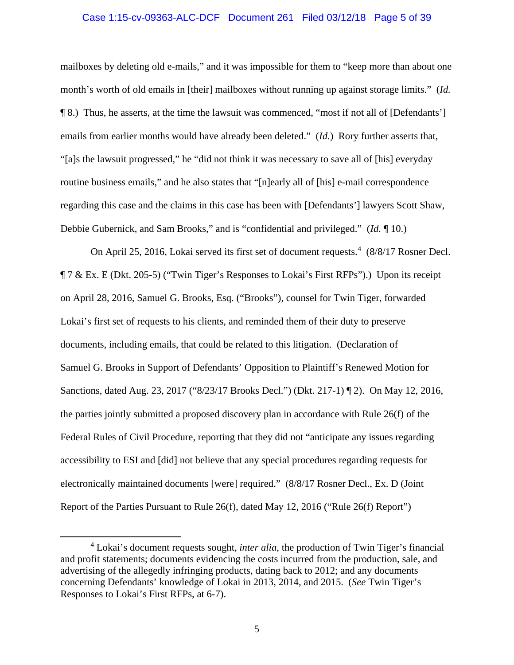### Case 1:15-cv-09363-ALC-DCF Document 261 Filed 03/12/18 Page 5 of 39

mailboxes by deleting old e-mails," and it was impossible for them to "keep more than about one month's worth of old emails in [their] mailboxes without running up against storage limits." (*Id.*  ¶ 8.) Thus, he asserts, at the time the lawsuit was commenced, "most if not all of [Defendants'] emails from earlier months would have already been deleted." (*Id.*) Rory further asserts that, "[a]s the lawsuit progressed," he "did not think it was necessary to save all of [his] everyday routine business emails," and he also states that "[n]early all of [his] e-mail correspondence regarding this case and the claims in this case has been with [Defendants'] lawyers Scott Shaw, Debbie Gubernick, and Sam Brooks," and is "confidential and privileged." (*Id.* ¶ 10.)

On April 25, 2016, Lokai served its first set of document requests.<sup>[4](#page-4-0)</sup> (8/8/17 Rosner Decl. ¶ 7 & Ex. E (Dkt. 205-5) ("Twin Tiger's Responses to Lokai's First RFPs").) Upon its receipt on April 28, 2016, Samuel G. Brooks, Esq. ("Brooks"), counsel for Twin Tiger, forwarded Lokai's first set of requests to his clients, and reminded them of their duty to preserve documents, including emails, that could be related to this litigation. (Declaration of Samuel G. Brooks in Support of Defendants' Opposition to Plaintiff's Renewed Motion for Sanctions, dated Aug. 23, 2017 ("8/23/17 Brooks Decl.") (Dkt. 217-1) ¶ 2). On May 12, 2016, the parties jointly submitted a proposed discovery plan in accordance with Rule 26(f) of the Federal Rules of Civil Procedure, reporting that they did not "anticipate any issues regarding accessibility to ESI and [did] not believe that any special procedures regarding requests for electronically maintained documents [were] required." (8/8/17 Rosner Decl., Ex. D (Joint Report of the Parties Pursuant to Rule 26(f), dated May 12, 2016 ("Rule 26(f) Report")

<span id="page-4-0"></span> <sup>4</sup> Lokai's document requests sought, *inter alia*, the production of Twin Tiger's financial and profit statements; documents evidencing the costs incurred from the production, sale, and advertising of the allegedly infringing products, dating back to 2012; and any documents concerning Defendants' knowledge of Lokai in 2013, 2014, and 2015. (*See* Twin Tiger's Responses to Lokai's First RFPs, at 6-7).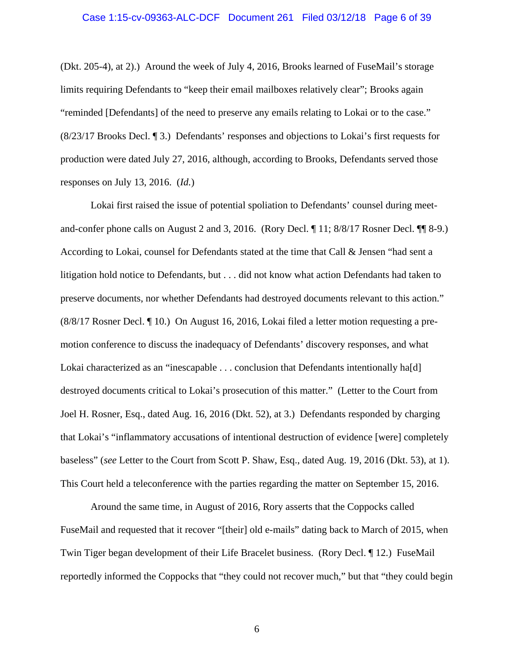# Case 1:15-cv-09363-ALC-DCF Document 261 Filed 03/12/18 Page 6 of 39

(Dkt. 205-4), at 2).) Around the week of July 4, 2016, Brooks learned of FuseMail's storage limits requiring Defendants to "keep their email mailboxes relatively clear"; Brooks again "reminded [Defendants] of the need to preserve any emails relating to Lokai or to the case." (8/23/17 Brooks Decl. ¶ 3.) Defendants' responses and objections to Lokai's first requests for production were dated July 27, 2016, although, according to Brooks, Defendants served those responses on July 13, 2016. (*Id.*)

Lokai first raised the issue of potential spoliation to Defendants' counsel during meetand-confer phone calls on August 2 and 3, 2016. (Rory Decl. ¶ 11; 8/8/17 Rosner Decl. ¶¶ 8-9.) According to Lokai, counsel for Defendants stated at the time that Call & Jensen "had sent a litigation hold notice to Defendants, but . . . did not know what action Defendants had taken to preserve documents, nor whether Defendants had destroyed documents relevant to this action." (8/8/17 Rosner Decl. ¶ 10.) On August 16, 2016, Lokai filed a letter motion requesting a premotion conference to discuss the inadequacy of Defendants' discovery responses, and what Lokai characterized as an "inescapable . . . conclusion that Defendants intentionally ha[d] destroyed documents critical to Lokai's prosecution of this matter." (Letter to the Court from Joel H. Rosner, Esq., dated Aug. 16, 2016 (Dkt. 52), at 3.) Defendants responded by charging that Lokai's "inflammatory accusations of intentional destruction of evidence [were] completely baseless" (*see* Letter to the Court from Scott P. Shaw, Esq., dated Aug. 19, 2016 (Dkt. 53), at 1). This Court held a teleconference with the parties regarding the matter on September 15, 2016.

Around the same time, in August of 2016, Rory asserts that the Coppocks called FuseMail and requested that it recover "[their] old e-mails" dating back to March of 2015, when Twin Tiger began development of their Life Bracelet business. (Rory Decl. ¶ 12.) FuseMail reportedly informed the Coppocks that "they could not recover much," but that "they could begin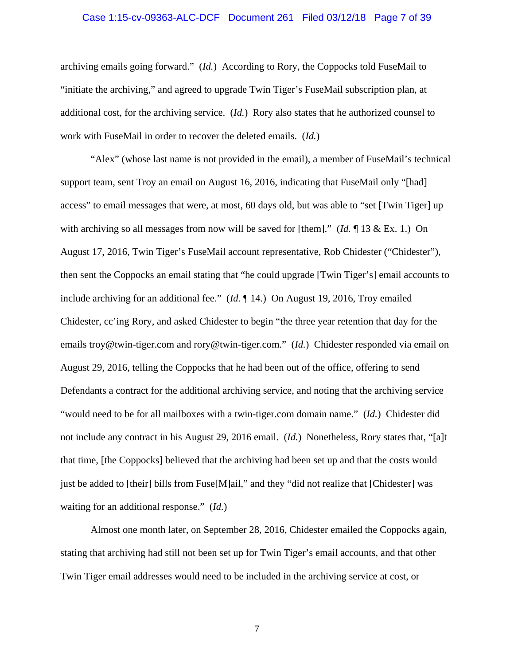### Case 1:15-cv-09363-ALC-DCF Document 261 Filed 03/12/18 Page 7 of 39

archiving emails going forward." (*Id.*) According to Rory, the Coppocks told FuseMail to "initiate the archiving," and agreed to upgrade Twin Tiger's FuseMail subscription plan, at additional cost, for the archiving service. (*Id.*) Rory also states that he authorized counsel to work with FuseMail in order to recover the deleted emails. (*Id.*)

"Alex" (whose last name is not provided in the email), a member of FuseMail's technical support team, sent Troy an email on August 16, 2016, indicating that FuseMail only "[had] access" to email messages that were, at most, 60 days old, but was able to "set [Twin Tiger] up with archiving so all messages from now will be saved for [them]." (*Id.* ¶ 13 & Ex. 1.) On August 17, 2016, Twin Tiger's FuseMail account representative, Rob Chidester ("Chidester"), then sent the Coppocks an email stating that "he could upgrade [Twin Tiger's] email accounts to include archiving for an additional fee." (*Id.* ¶ 14.) On August 19, 2016, Troy emailed Chidester, cc'ing Rory, and asked Chidester to begin "the three year retention that day for the emails troy@twin-tiger.com and rory@twin-tiger.com." (*Id.*) Chidester responded via email on August 29, 2016, telling the Coppocks that he had been out of the office, offering to send Defendants a contract for the additional archiving service, and noting that the archiving service "would need to be for all mailboxes with a twin-tiger.com domain name." (*Id.*) Chidester did not include any contract in his August 29, 2016 email. (*Id.*) Nonetheless, Rory states that, "[a]t that time, [the Coppocks] believed that the archiving had been set up and that the costs would just be added to [their] bills from Fuse[M]ail," and they "did not realize that [Chidester] was waiting for an additional response." (*Id.*)

Almost one month later, on September 28, 2016, Chidester emailed the Coppocks again, stating that archiving had still not been set up for Twin Tiger's email accounts, and that other Twin Tiger email addresses would need to be included in the archiving service at cost, or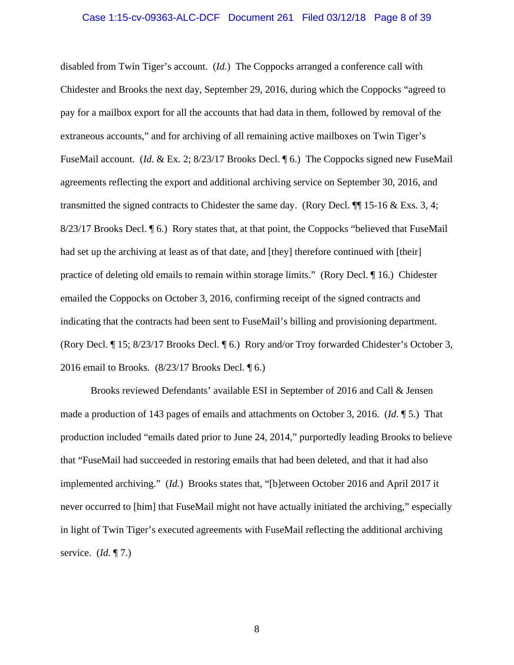# Case 1:15-cv-09363-ALC-DCF Document 261 Filed 03/12/18 Page 8 of 39

disabled from Twin Tiger's account. (*Id.*) The Coppocks arranged a conference call with Chidester and Brooks the next day, September 29, 2016, during which the Coppocks "agreed to pay for a mailbox export for all the accounts that had data in them, followed by removal of the extraneous accounts," and for archiving of all remaining active mailboxes on Twin Tiger's FuseMail account. (*Id. &* Ex. 2; 8/23/17 Brooks Decl. 16.) The Coppocks signed new FuseMail agreements reflecting the export and additional archiving service on September 30, 2016, and transmitted the signed contracts to Chidester the same day. (Rory Decl. ¶¶ 15-16 & Exs. 3, 4; 8/23/17 Brooks Decl.  $\P$  6.) Rory states that, at that point, the Coppocks "believed that FuseMail had set up the archiving at least as of that date, and [they] therefore continued with [their] practice of deleting old emails to remain within storage limits." (Rory Decl. ¶ 16.) Chidester emailed the Coppocks on October 3, 2016, confirming receipt of the signed contracts and indicating that the contracts had been sent to FuseMail's billing and provisioning department. (Rory Decl. ¶ 15; 8/23/17 Brooks Decl. ¶ 6.) Rory and/or Troy forwarded Chidester's October 3, 2016 email to Brooks.  $(8/23/17$  Brooks Decl.  $\sqrt{96}$ .)

Brooks reviewed Defendants' available ESI in September of 2016 and Call & Jensen made a production of 143 pages of emails and attachments on October 3, 2016. (*Id*. ¶ 5.) That production included "emails dated prior to June 24, 2014," purportedly leading Brooks to believe that "FuseMail had succeeded in restoring emails that had been deleted, and that it had also implemented archiving." (*Id.*) Brooks states that, "[b]etween October 2016 and April 2017 it never occurred to [him] that FuseMail might not have actually initiated the archiving," especially in light of Twin Tiger's executed agreements with FuseMail reflecting the additional archiving service. (*Id.* ¶ 7.)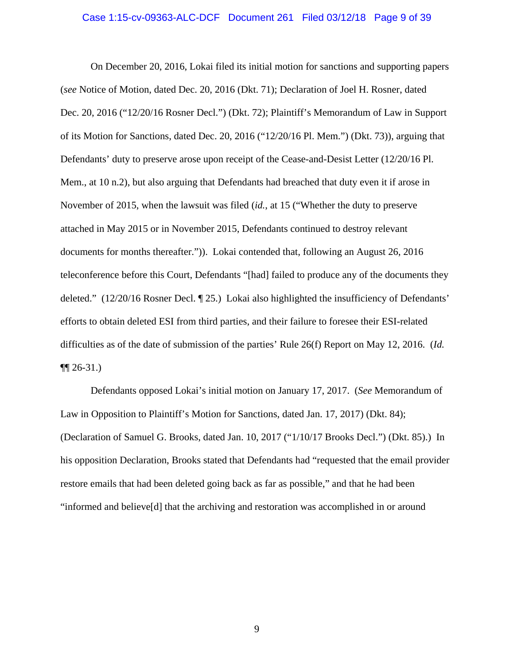# Case 1:15-cv-09363-ALC-DCF Document 261 Filed 03/12/18 Page 9 of 39

On December 20, 2016, Lokai filed its initial motion for sanctions and supporting papers (*see* Notice of Motion, dated Dec. 20, 2016 (Dkt. 71); Declaration of Joel H. Rosner, dated Dec. 20, 2016 ("12/20/16 Rosner Decl.") (Dkt. 72); Plaintiff's Memorandum of Law in Support of its Motion for Sanctions, dated Dec. 20, 2016 ("12/20/16 Pl. Mem.") (Dkt. 73)), arguing that Defendants' duty to preserve arose upon receipt of the Cease-and-Desist Letter (12/20/16 Pl. Mem., at 10 n.2), but also arguing that Defendants had breached that duty even it if arose in November of 2015, when the lawsuit was filed (*id.*, at 15 ("Whether the duty to preserve attached in May 2015 or in November 2015, Defendants continued to destroy relevant documents for months thereafter.")). Lokai contended that, following an August 26, 2016 teleconference before this Court, Defendants "[had] failed to produce any of the documents they deleted." (12/20/16 Rosner Decl. ¶ 25.) Lokai also highlighted the insufficiency of Defendants' efforts to obtain deleted ESI from third parties, and their failure to foresee their ESI-related difficulties as of the date of submission of the parties' Rule 26(f) Report on May 12, 2016. (*Id.*   $\P(26-31.)$ 

Defendants opposed Lokai's initial motion on January 17, 2017. (*See* Memorandum of Law in Opposition to Plaintiff's Motion for Sanctions, dated Jan. 17, 2017) (Dkt. 84); (Declaration of Samuel G. Brooks, dated Jan. 10, 2017 ("1/10/17 Brooks Decl.") (Dkt. 85).) In his opposition Declaration, Brooks stated that Defendants had "requested that the email provider restore emails that had been deleted going back as far as possible," and that he had been "informed and believe[d] that the archiving and restoration was accomplished in or around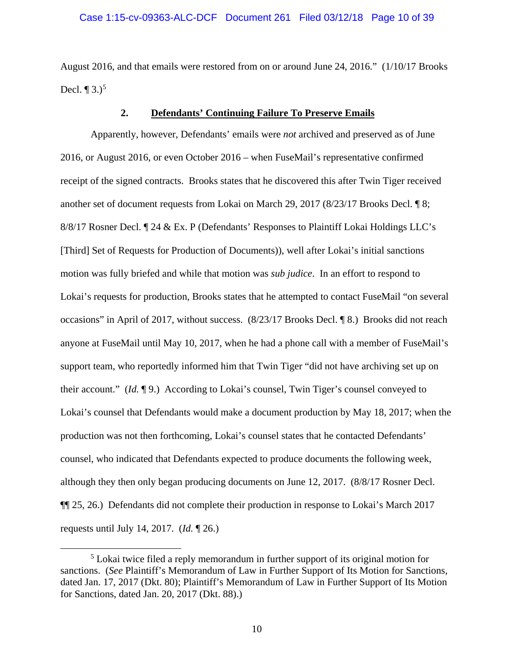August 2016, and that emails were restored from on or around June 24, 2016." (1/10/17 Brooks Decl.  $\P$  3.)<sup>[5](#page-9-0)</sup>

## **2. Defendants' Continuing Failure To Preserve Emails**

Apparently, however, Defendants' emails were *not* archived and preserved as of June 2016, or August 2016, or even October 2016 – when FuseMail's representative confirmed receipt of the signed contracts. Brooks states that he discovered this after Twin Tiger received another set of document requests from Lokai on March 29, 2017 (8/23/17 Brooks Decl. ¶ 8; 8/8/17 Rosner Decl. ¶ 24 & Ex. P (Defendants' Responses to Plaintiff Lokai Holdings LLC's [Third] Set of Requests for Production of Documents)), well after Lokai's initial sanctions motion was fully briefed and while that motion was *sub judice*. In an effort to respond to Lokai's requests for production, Brooks states that he attempted to contact FuseMail "on several occasions" in April of 2017, without success. (8/23/17 Brooks Decl. ¶ 8.) Brooks did not reach anyone at FuseMail until May 10, 2017, when he had a phone call with a member of FuseMail's support team, who reportedly informed him that Twin Tiger "did not have archiving set up on their account." (*Id.* ¶ 9.) According to Lokai's counsel, Twin Tiger's counsel conveyed to Lokai's counsel that Defendants would make a document production by May 18, 2017; when the production was not then forthcoming, Lokai's counsel states that he contacted Defendants' counsel, who indicated that Defendants expected to produce documents the following week, although they then only began producing documents on June 12, 2017. (8/8/17 Rosner Decl. ¶¶ 25, 26.) Defendants did not complete their production in response to Lokai's March 2017 requests until July 14, 2017. (*Id.* ¶ 26.)

<span id="page-9-0"></span> <sup>5</sup> Lokai twice filed a reply memorandum in further support of its original motion for sanctions. (*See* Plaintiff's Memorandum of Law in Further Support of Its Motion for Sanctions, dated Jan. 17, 2017 (Dkt. 80); Plaintiff's Memorandum of Law in Further Support of Its Motion for Sanctions, dated Jan. 20, 2017 (Dkt. 88).)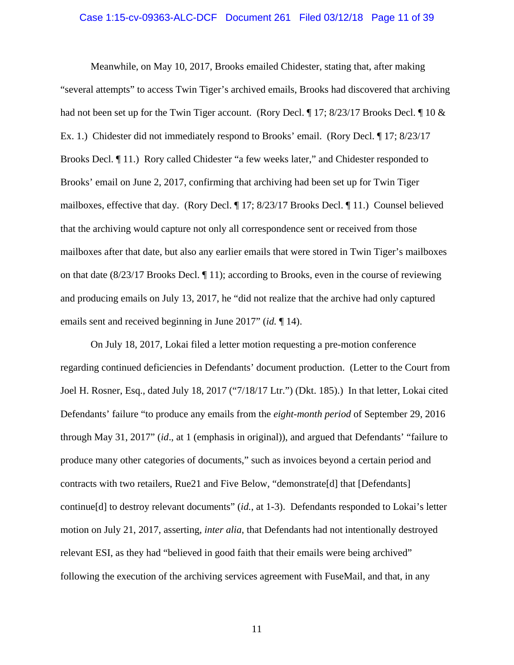# Case 1:15-cv-09363-ALC-DCF Document 261 Filed 03/12/18 Page 11 of 39

Meanwhile, on May 10, 2017, Brooks emailed Chidester, stating that, after making "several attempts" to access Twin Tiger's archived emails, Brooks had discovered that archiving had not been set up for the Twin Tiger account. (Rory Decl. ¶ 17; 8/23/17 Brooks Decl. ¶ 10 & Ex. 1.) Chidester did not immediately respond to Brooks' email. (Rory Decl. ¶ 17; 8/23/17 Brooks Decl. ¶ 11.) Rory called Chidester "a few weeks later," and Chidester responded to Brooks' email on June 2, 2017, confirming that archiving had been set up for Twin Tiger mailboxes, effective that day. (Rory Decl. ¶ 17; 8/23/17 Brooks Decl. ¶ 11.) Counsel believed that the archiving would capture not only all correspondence sent or received from those mailboxes after that date, but also any earlier emails that were stored in Twin Tiger's mailboxes on that date (8/23/17 Brooks Decl. ¶ 11); according to Brooks, even in the course of reviewing and producing emails on July 13, 2017, he "did not realize that the archive had only captured emails sent and received beginning in June 2017" (*id.* ¶ 14).

On July 18, 2017, Lokai filed a letter motion requesting a pre-motion conference regarding continued deficiencies in Defendants' document production. (Letter to the Court from Joel H. Rosner, Esq., dated July 18, 2017 ("7/18/17 Ltr.") (Dkt. 185).) In that letter, Lokai cited Defendants' failure "to produce any emails from the *eight-month period* of September 29, 2016 through May 31, 2017" (*id*., at 1 (emphasis in original)), and argued that Defendants' "failure to produce many other categories of documents," such as invoices beyond a certain period and contracts with two retailers, Rue21 and Five Below, "demonstrate[d] that [Defendants] continue[d] to destroy relevant documents" (*id.*, at 1-3). Defendants responded to Lokai's letter motion on July 21, 2017, asserting, *inter alia*, that Defendants had not intentionally destroyed relevant ESI, as they had "believed in good faith that their emails were being archived" following the execution of the archiving services agreement with FuseMail, and that, in any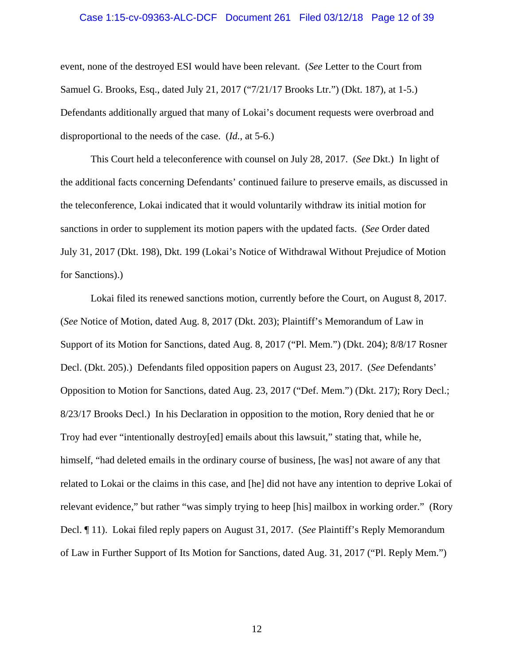# Case 1:15-cv-09363-ALC-DCF Document 261 Filed 03/12/18 Page 12 of 39

event, none of the destroyed ESI would have been relevant. (*See* Letter to the Court from Samuel G. Brooks, Esq., dated July 21, 2017 ("7/21/17 Brooks Ltr.") (Dkt. 187), at 1-5.) Defendants additionally argued that many of Lokai's document requests were overbroad and disproportional to the needs of the case. (*Id.*, at 5-6.)

This Court held a teleconference with counsel on July 28, 2017. (*See* Dkt.) In light of the additional facts concerning Defendants' continued failure to preserve emails, as discussed in the teleconference, Lokai indicated that it would voluntarily withdraw its initial motion for sanctions in order to supplement its motion papers with the updated facts. (*See* Order dated July 31, 2017 (Dkt. 198), Dkt. 199 (Lokai's Notice of Withdrawal Without Prejudice of Motion for Sanctions).)

Lokai filed its renewed sanctions motion, currently before the Court, on August 8, 2017. (*See* Notice of Motion, dated Aug. 8, 2017 (Dkt. 203); Plaintiff's Memorandum of Law in Support of its Motion for Sanctions, dated Aug. 8, 2017 ("Pl. Mem.") (Dkt. 204); 8/8/17 Rosner Decl. (Dkt. 205).) Defendants filed opposition papers on August 23, 2017. (*See* Defendants' Opposition to Motion for Sanctions, dated Aug. 23, 2017 ("Def. Mem.") (Dkt. 217); Rory Decl.; 8/23/17 Brooks Decl.) In his Declaration in opposition to the motion, Rory denied that he or Troy had ever "intentionally destroy[ed] emails about this lawsuit," stating that, while he, himself, "had deleted emails in the ordinary course of business, [he was] not aware of any that related to Lokai or the claims in this case, and [he] did not have any intention to deprive Lokai of relevant evidence," but rather "was simply trying to heep [his] mailbox in working order." (Rory Decl. ¶ 11). Lokai filed reply papers on August 31, 2017. (*See* Plaintiff's Reply Memorandum of Law in Further Support of Its Motion for Sanctions, dated Aug. 31, 2017 ("Pl. Reply Mem.")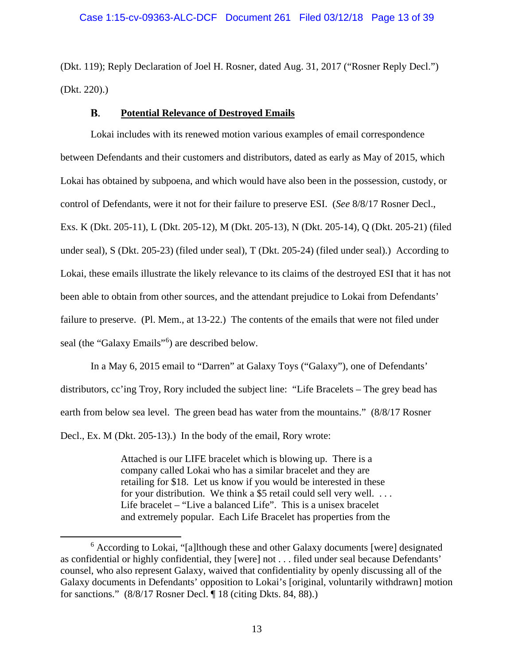## Case 1:15-cv-09363-ALC-DCF Document 261 Filed 03/12/18 Page 13 of 39

(Dkt. 119); Reply Declaration of Joel H. Rosner, dated Aug. 31, 2017 ("Rosner Reply Decl.") (Dkt. 220).)

#### **Potential Relevance of Destroyed Emails B.**

Lokai includes with its renewed motion various examples of email correspondence between Defendants and their customers and distributors, dated as early as May of 2015, which Lokai has obtained by subpoena, and which would have also been in the possession, custody, or control of Defendants, were it not for their failure to preserve ESI. (*See* 8/8/17 Rosner Decl., Exs. K (Dkt. 205-11), L (Dkt. 205-12), M (Dkt. 205-13), N (Dkt. 205-14), Q (Dkt. 205-21) (filed under seal), S (Dkt. 205-23) (filed under seal), T (Dkt. 205-24) (filed under seal).) According to Lokai, these emails illustrate the likely relevance to its claims of the destroyed ESI that it has not been able to obtain from other sources, and the attendant prejudice to Lokai from Defendants' failure to preserve. (Pl. Mem., at 13-22.) The contents of the emails that were not filed under seal (the "Galaxy Emails"<sup>[6](#page-12-0)</sup>) are described below.

In a May 6, 2015 email to "Darren" at Galaxy Toys ("Galaxy"), one of Defendants' distributors, cc'ing Troy, Rory included the subject line: "Life Bracelets – The grey bead has earth from below sea level. The green bead has water from the mountains." (8/8/17 Rosner Decl., Ex. M (Dkt. 205-13).) In the body of the email, Rory wrote:

> Attached is our LIFE bracelet which is blowing up. There is a company called Lokai who has a similar bracelet and they are retailing for \$18. Let us know if you would be interested in these for your distribution. We think a \$5 retail could sell very well. . . . Life bracelet – "Live a balanced Life". This is a unisex bracelet and extremely popular. Each Life Bracelet has properties from the

<span id="page-12-0"></span> <sup>6</sup> According to Lokai, "[a]lthough these and other Galaxy documents [were] designated as confidential or highly confidential, they [were] not . . . filed under seal because Defendants' counsel, who also represent Galaxy, waived that confidentiality by openly discussing all of the Galaxy documents in Defendants' opposition to Lokai's [original, voluntarily withdrawn] motion for sanctions." (8/8/17 Rosner Decl. ¶ 18 (citing Dkts. 84, 88).)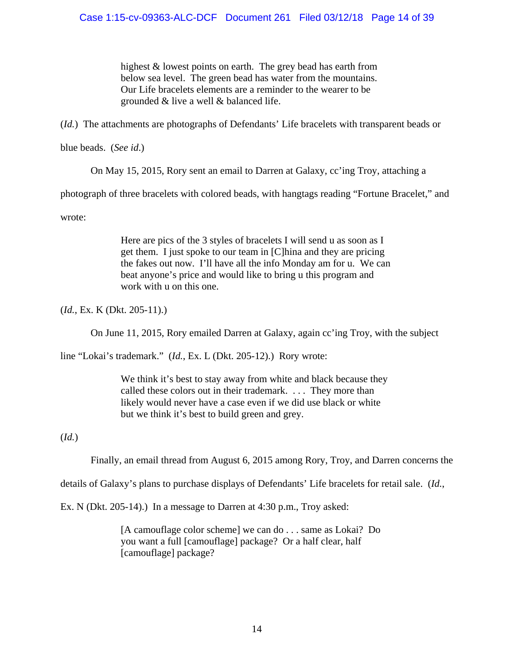highest & lowest points on earth. The grey bead has earth from below sea level. The green bead has water from the mountains. Our Life bracelets elements are a reminder to the wearer to be grounded & live a well & balanced life.

(*Id.*) The attachments are photographs of Defendants' Life bracelets with transparent beads or

blue beads. (*See id*.)

On May 15, 2015, Rory sent an email to Darren at Galaxy, cc'ing Troy, attaching a

photograph of three bracelets with colored beads, with hangtags reading "Fortune Bracelet," and

wrote:

Here are pics of the 3 styles of bracelets I will send u as soon as I get them. I just spoke to our team in [C]hina and they are pricing the fakes out now. I'll have all the info Monday am for u. We can beat anyone's price and would like to bring u this program and work with u on this one.

(*Id.*, Ex. K (Dkt. 205-11).)

On June 11, 2015, Rory emailed Darren at Galaxy, again cc'ing Troy, with the subject

line "Lokai's trademark." (*Id.*, Ex. L (Dkt. 205-12).) Rory wrote:

We think it's best to stay away from white and black because they called these colors out in their trademark. . . . They more than likely would never have a case even if we did use black or white but we think it's best to build green and grey.

(*Id.*)

Finally, an email thread from August 6, 2015 among Rory, Troy, and Darren concerns the

details of Galaxy's plans to purchase displays of Defendants' Life bracelets for retail sale. (*Id.*,

Ex. N (Dkt. 205-14).) In a message to Darren at 4:30 p.m., Troy asked:

[A camouflage color scheme] we can do . . . same as Lokai? Do you want a full [camouflage] package? Or a half clear, half [camouflage] package?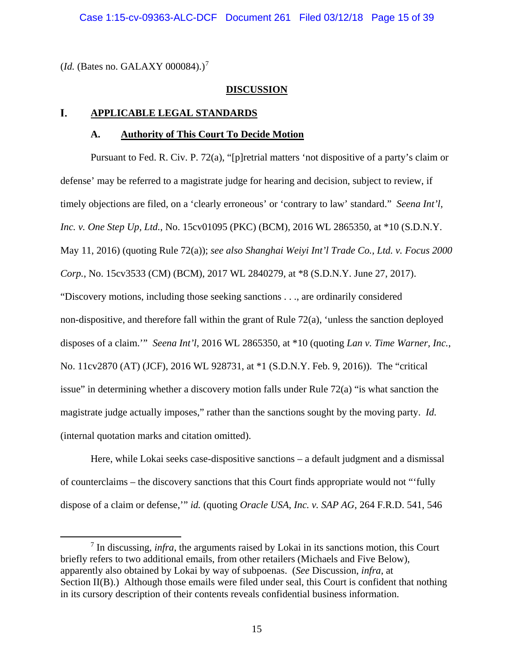(*Id.* (Bates no. GALAXY 000084).)<sup>[7](#page-14-0)</sup>

## **DISCUSSION**

#### L. **APPLICABLE LEGAL STANDARDS**

## **A. Authority of This Court To Decide Motion**

Pursuant to Fed. R. Civ. P. 72(a), "[p]retrial matters 'not dispositive of a party's claim or defense' may be referred to a magistrate judge for hearing and decision, subject to review, if timely objections are filed, on a 'clearly erroneous' or 'contrary to law' standard." *Seena Int'l, Inc. v. One Step Up, Ltd.*, No. 15cv01095 (PKC) (BCM), 2016 WL 2865350, at \*10 (S.D.N.Y. May 11, 2016) (quoting Rule 72(a)); *see also Shanghai Weiyi Int'l Trade Co., Ltd. v. Focus 2000 Corp.*, No. 15cv3533 (CM) (BCM), 2017 WL 2840279, at \*8 (S.D.N.Y. June 27, 2017). "Discovery motions, including those seeking sanctions . . ., are ordinarily considered non-dispositive, and therefore fall within the grant of Rule 72(a), 'unless the sanction deployed disposes of a claim.'" *Seena Int'l*, 2016 WL 2865350, at \*10 (quoting *Lan v. Time Warner, Inc.*, No. 11cv2870 (AT) (JCF), 2016 WL 928731, at \*1 (S.D.N.Y. Feb. 9, 2016)). The "critical issue" in determining whether a discovery motion falls under Rule 72(a) "is what sanction the magistrate judge actually imposes," rather than the sanctions sought by the moving party. *Id.*  (internal quotation marks and citation omitted).

Here, while Lokai seeks case-dispositive sanctions – a default judgment and a dismissal of counterclaims – the discovery sanctions that this Court finds appropriate would not "'fully dispose of a claim or defense,'" *id.* (quoting *Oracle USA, Inc. v. SAP AG*, 264 F.R.D. 541, 546

<span id="page-14-0"></span> <sup>7</sup> In discussing, *infra*, the arguments raised by Lokai in its sanctions motion, this Court briefly refers to two additional emails, from other retailers (Michaels and Five Below), apparently also obtained by Lokai by way of subpoenas. (*See* Discussion, *infra*, at Section II(B).) Although those emails were filed under seal, this Court is confident that nothing in its cursory description of their contents reveals confidential business information.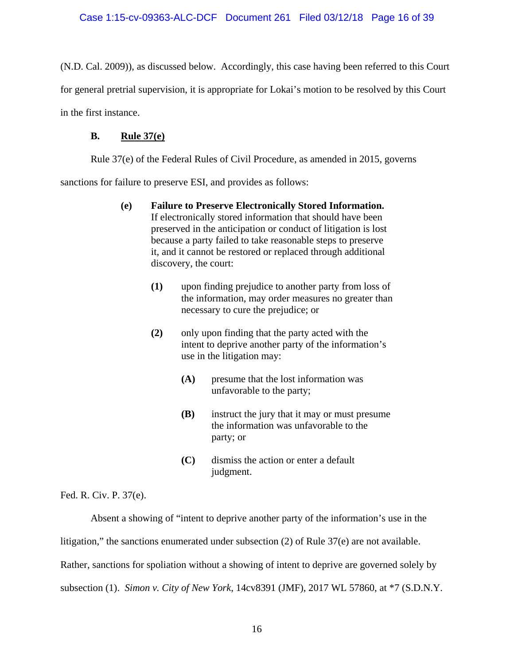(N.D. Cal. 2009)), as discussed below. Accordingly, this case having been referred to this Court for general pretrial supervision, it is appropriate for Lokai's motion to be resolved by this Court in the first instance.

## **B. Rule 37(e)**

Rule 37(e) of the Federal Rules of Civil Procedure, as amended in 2015, governs

sanctions for failure to preserve ESI, and provides as follows:

- **(e) Failure to Preserve Electronically Stored Information.** If electronically stored information that should have been preserved in the anticipation or conduct of litigation is lost because a party failed to take reasonable steps to preserve it, and it cannot be restored or replaced through additional discovery, the court:
	- **(1)** upon finding prejudice to another party from loss of the information, may order measures no greater than necessary to cure the prejudice; or
	- **(2)** only upon finding that the party acted with the intent to deprive another party of the information's use in the litigation may:
		- **(A)** presume that the lost information was unfavorable to the party;
		- **(B)** instruct the jury that it may or must presume the information was unfavorable to the party; or
		- **(C)** dismiss the action or enter a default judgment.

Fed. R. Civ. P. 37(e).

Absent a showing of "intent to deprive another party of the information's use in the litigation," the sanctions enumerated under subsection (2) of Rule 37(e) are not available. Rather, sanctions for spoliation without a showing of intent to deprive are governed solely by subsection (1). *Simon v. City of New York*, 14cv8391 (JMF), 2017 WL 57860, at \*7 (S.D.N.Y.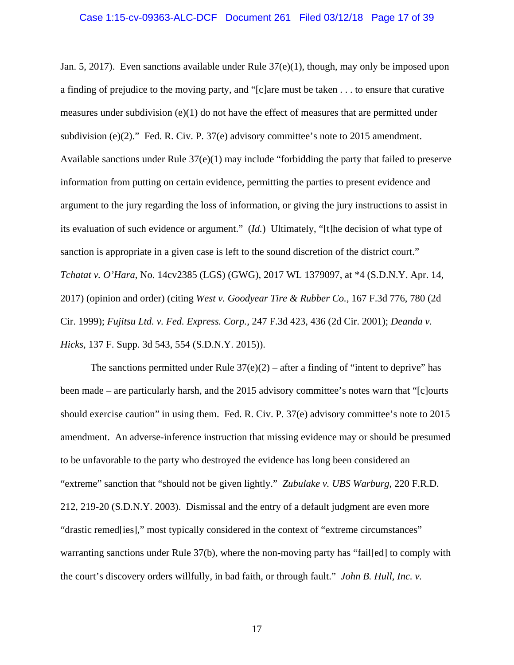# Case 1:15-cv-09363-ALC-DCF Document 261 Filed 03/12/18 Page 17 of 39

Jan. 5, 2017). Even sanctions available under Rule 37(e)(1), though, may only be imposed upon a finding of prejudice to the moving party, and "[c]are must be taken . . . to ensure that curative measures under subdivision  $(e)(1)$  do not have the effect of measures that are permitted under subdivision (e)(2)." Fed. R. Civ. P. 37(e) advisory committee's note to 2015 amendment. Available sanctions under Rule  $37(e)(1)$  may include "forbidding the party that failed to preserve information from putting on certain evidence, permitting the parties to present evidence and argument to the jury regarding the loss of information, or giving the jury instructions to assist in its evaluation of such evidence or argument." (*Id.*) Ultimately, "[t]he decision of what type of sanction is appropriate in a given case is left to the sound discretion of the district court." *Tchatat v. O'Hara*, No. 14cv2385 (LGS) (GWG), 2017 WL 1379097, at \*4 (S.D.N.Y. Apr. 14, 2017) (opinion and order) (citing *West v. Goodyear Tire & Rubber Co.,* 167 F.3d 776, 780 (2d Cir. 1999); *Fujitsu Ltd. v. Fed. Express. Corp.,* 247 F.3d 423, 436 (2d Cir. 2001); *Deanda v. Hicks*, 137 F. Supp. 3d 543, 554 (S.D.N.Y. 2015)).

The sanctions permitted under Rule  $37(e)(2)$  – after a finding of "intent to deprive" has been made – are particularly harsh, and the 2015 advisory committee's notes warn that "[c]ourts should exercise caution" in using them. Fed. R. Civ. P. 37(e) advisory committee's note to 2015 amendment. An adverse-inference instruction that missing evidence may or should be presumed to be unfavorable to the party who destroyed the evidence has long been considered an "extreme" sanction that "should not be given lightly." *Zubulake v. UBS Warburg*, 220 F.R.D. 212, 219-20 (S.D.N.Y. 2003). Dismissal and the entry of a default judgment are even more "drastic remed[ies]," most typically considered in the context of "extreme circumstances" warranting sanctions under Rule 37(b), where the non-moving party has "fail[ed] to comply with the court's discovery orders willfully, in bad faith, or through fault." *John B. Hull, Inc. v.*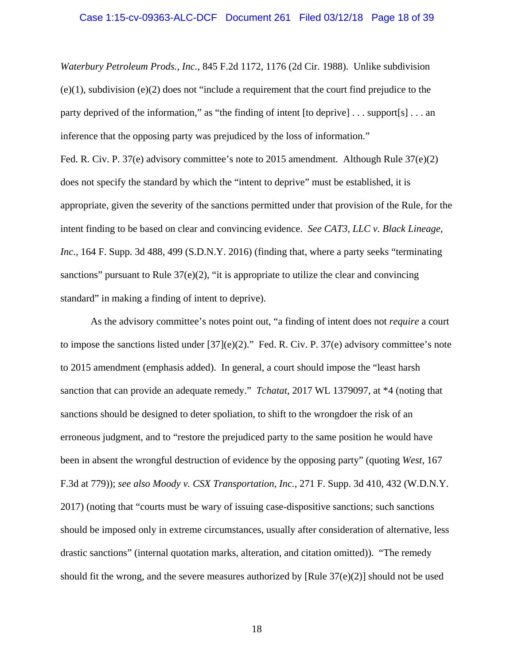# Case 1:15-cv-09363-ALC-DCF Document 261 Filed 03/12/18 Page 18 of 39

*Waterbury Petroleum Prods., Inc.*, 845 F.2d 1172, 1176 (2d Cir. 1988). Unlike subdivision (e)(1), subdivision (e)(2) does not "include a requirement that the court find prejudice to the party deprived of the information," as "the finding of intent [to deprive] . . . support[s] . . . an inference that the opposing party was prejudiced by the loss of information."

Fed. R. Civ. P. 37(e) advisory committee's note to 2015 amendment. Although Rule 37(e)(2) does not specify the standard by which the "intent to deprive" must be established, it is appropriate, given the severity of the sanctions permitted under that provision of the Rule, for the intent finding to be based on clear and convincing evidence. *See CAT3, LLC v. Black Lineage, Inc.*, 164 F. Supp. 3d 488, 499 (S.D.N.Y. 2016) (finding that, where a party seeks "terminating sanctions" pursuant to Rule  $37(e)(2)$ , "it is appropriate to utilize the clear and convincing standard" in making a finding of intent to deprive).

As the advisory committee's notes point out, "a finding of intent does not *require* a court to impose the sanctions listed under  $[37](e)(2)$ ." Fed. R. Civ. P. 37(e) advisory committee's note to 2015 amendment (emphasis added). In general, a court should impose the "least harsh sanction that can provide an adequate remedy." *Tchatat*, 2017 WL 1379097, at \*4 (noting that sanctions should be designed to deter spoliation, to shift to the wrongdoer the risk of an erroneous judgment, and to "restore the prejudiced party to the same position he would have been in absent the wrongful destruction of evidence by the opposing party" (quoting *West*, 167 F.3d at 779)); *see also Moody v. CSX Transportation, Inc.*, 271 F. Supp. 3d 410, 432 (W.D.N.Y. 2017) (noting that "courts must be wary of issuing case-dispositive sanctions; such sanctions should be imposed only in extreme circumstances, usually after consideration of alternative, less drastic sanctions" (internal quotation marks, alteration, and citation omitted)). "The remedy should fit the wrong, and the severe measures authorized by [Rule  $37(e)(2)$ ] should not be used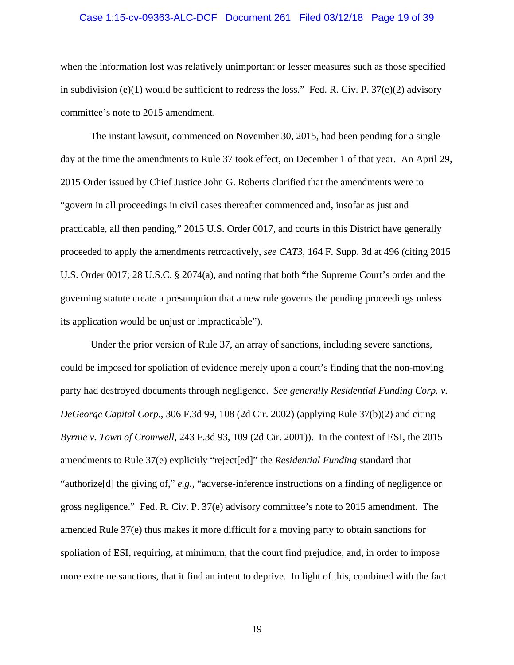# Case 1:15-cv-09363-ALC-DCF Document 261 Filed 03/12/18 Page 19 of 39

when the information lost was relatively unimportant or lesser measures such as those specified in subdivision (e)(1) would be sufficient to redress the loss." Fed. R. Civ. P.  $37(e)(2)$  advisory committee's note to 2015 amendment.

The instant lawsuit, commenced on November 30, 2015, had been pending for a single day at the time the amendments to Rule 37 took effect, on December 1 of that year. An April 29, 2015 Order issued by Chief Justice John G. Roberts clarified that the amendments were to "govern in all proceedings in civil cases thereafter commenced and, insofar as just and practicable, all then pending," 2015 U.S. Order 0017, and courts in this District have generally proceeded to apply the amendments retroactively, *see CAT3*, 164 F. Supp. 3d at 496 (citing 2015 U.S. Order 0017; 28 U.S.C. § 2074(a), and noting that both "the Supreme Court's order and the governing statute create a presumption that a new rule governs the pending proceedings unless its application would be unjust or impracticable").

Under the prior version of Rule 37, an array of sanctions, including severe sanctions, could be imposed for spoliation of evidence merely upon a court's finding that the non-moving party had destroyed documents through negligence. *See generally Residential Funding Corp. v. DeGeorge Capital Corp.*, 306 F.3d 99, 108 (2d Cir. 2002) (applying Rule 37(b)(2) and citing *Byrnie v. Town of Cromwell*, 243 F.3d 93, 109 (2d Cir. 2001)). In the context of ESI, the 2015 amendments to Rule 37(e) explicitly "reject[ed]" the *Residential Funding* standard that "authorize[d] the giving of," *e.g.*, "adverse-inference instructions on a finding of negligence or gross negligence." Fed. R. Civ. P. 37(e) advisory committee's note to 2015 amendment. The amended Rule 37(e) thus makes it more difficult for a moving party to obtain sanctions for spoliation of ESI, requiring, at minimum, that the court find prejudice, and, in order to impose more extreme sanctions, that it find an intent to deprive. In light of this, combined with the fact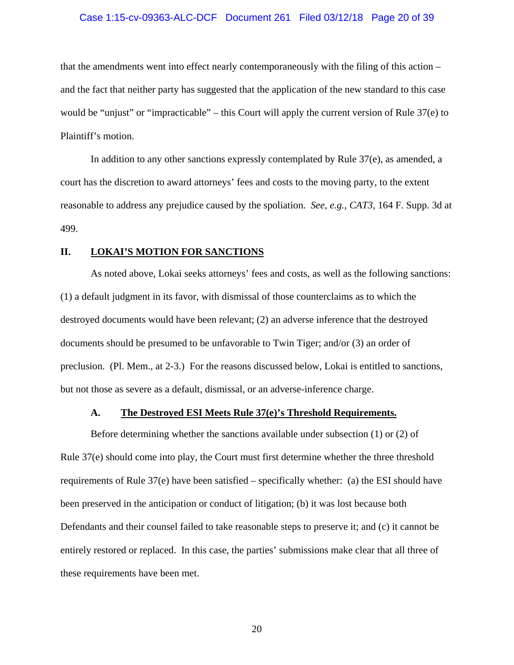# Case 1:15-cv-09363-ALC-DCF Document 261 Filed 03/12/18 Page 20 of 39

that the amendments went into effect nearly contemporaneously with the filing of this action – and the fact that neither party has suggested that the application of the new standard to this case would be "unjust" or "impracticable" – this Court will apply the current version of Rule 37(e) to Plaintiff's motion.

In addition to any other sanctions expressly contemplated by Rule  $37(e)$ , as amended, a court has the discretion to award attorneys' fees and costs to the moving party, to the extent reasonable to address any prejudice caused by the spoliation. *See, e.g.*, *CAT3,* 164 F. Supp. 3d at 499.

### **II. LOKAI'S MOTION FOR SANCTIONS**

As noted above, Lokai seeks attorneys' fees and costs, as well as the following sanctions: (1) a default judgment in its favor, with dismissal of those counterclaims as to which the destroyed documents would have been relevant; (2) an adverse inference that the destroyed documents should be presumed to be unfavorable to Twin Tiger; and/or (3) an order of preclusion. (Pl. Mem., at 2-3.) For the reasons discussed below, Lokai is entitled to sanctions, but not those as severe as a default, dismissal, or an adverse-inference charge.

### **A. The Destroyed ESI Meets Rule 37(e)'s Threshold Requirements.**

Before determining whether the sanctions available under subsection (1) or (2) of Rule 37(e) should come into play, the Court must first determine whether the three threshold requirements of Rule 37(e) have been satisfied – specifically whether: (a) the ESI should have been preserved in the anticipation or conduct of litigation; (b) it was lost because both Defendants and their counsel failed to take reasonable steps to preserve it; and (c) it cannot be entirely restored or replaced. In this case, the parties' submissions make clear that all three of these requirements have been met.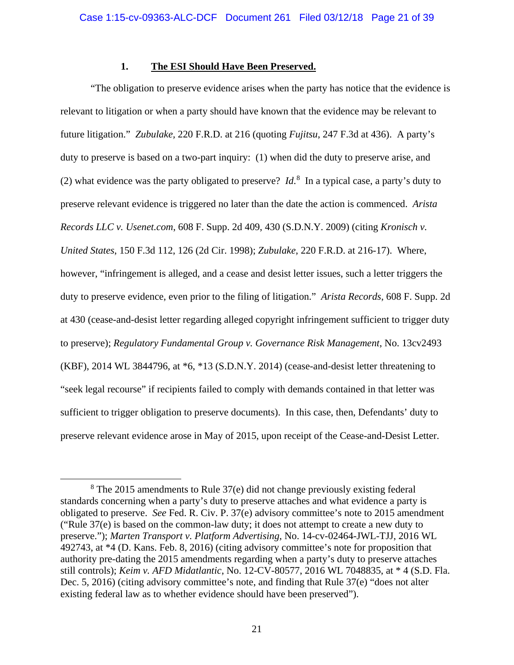## **1. The ESI Should Have Been Preserved.**

"The obligation to preserve evidence arises when the party has notice that the evidence is relevant to litigation or when a party should have known that the evidence may be relevant to future litigation." *Zubulake,* 220 F.R.D. at 216 (quoting *Fujitsu*, 247 F.3d at 436). A party's duty to preserve is based on a two-part inquiry: (1) when did the duty to preserve arise, and (2) what evidence was the party obligated to preserve?  $Id<sup>8</sup>$  $Id<sup>8</sup>$  $Id<sup>8</sup>$  In a typical case, a party's duty to preserve relevant evidence is triggered no later than the date the action is commenced. *Arista Records LLC v. Usenet.com*, 608 F. Supp. 2d 409, 430 (S.D.N.Y. 2009) (citing *Kronisch v. United States*, 150 F.3d 112, 126 (2d Cir. 1998); *Zubulake*, 220 F.R.D. at 216-17). Where, however, "infringement is alleged, and a cease and desist letter issues, such a letter triggers the duty to preserve evidence, even prior to the filing of litigation." *Arista Records*, 608 F. Supp. 2d at 430 (cease-and-desist letter regarding alleged copyright infringement sufficient to trigger duty to preserve); *Regulatory Fundamental Group v. Governance Risk Management*, No. 13cv2493 (KBF), 2014 WL 3844796, at \*6, \*13 (S.D.N.Y. 2014) (cease-and-desist letter threatening to "seek legal recourse" if recipients failed to comply with demands contained in that letter was sufficient to trigger obligation to preserve documents). In this case, then, Defendants' duty to preserve relevant evidence arose in May of 2015, upon receipt of the Cease-and-Desist Letter.

<span id="page-20-0"></span> <sup>8</sup> The 2015 amendments to Rule 37(e) did not change previously existing federal standards concerning when a party's duty to preserve attaches and what evidence a party is obligated to preserve. *See* Fed. R. Civ. P. 37(e) advisory committee's note to 2015 amendment ("Rule 37(e) is based on the common-law duty; it does not attempt to create a new duty to preserve."); *Marten Transport v. Platform Advertising*, No. 14-cv-02464-JWL-TJJ, 2016 WL 492743, at \*4 (D. Kans. Feb. 8, 2016) (citing advisory committee's note for proposition that authority pre-dating the 2015 amendments regarding when a party's duty to preserve attaches still controls); *Keim v. AFD Midatlantic*, No. 12-CV-80577, 2016 WL 7048835, at \* 4 (S.D. Fla. Dec. 5, 2016) (citing advisory committee's note, and finding that Rule 37(e) "does not alter existing federal law as to whether evidence should have been preserved").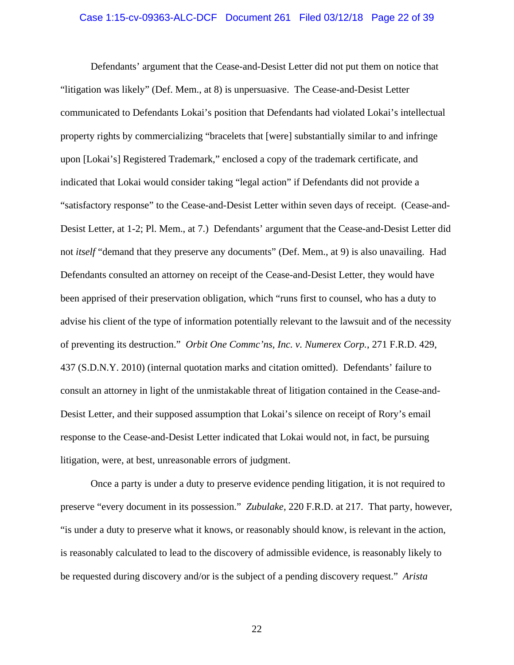# Case 1:15-cv-09363-ALC-DCF Document 261 Filed 03/12/18 Page 22 of 39

Defendants' argument that the Cease-and-Desist Letter did not put them on notice that "litigation was likely" (Def. Mem., at 8) is unpersuasive. The Cease-and-Desist Letter communicated to Defendants Lokai's position that Defendants had violated Lokai's intellectual property rights by commercializing "bracelets that [were] substantially similar to and infringe upon [Lokai's] Registered Trademark," enclosed a copy of the trademark certificate, and indicated that Lokai would consider taking "legal action" if Defendants did not provide a "satisfactory response" to the Cease-and-Desist Letter within seven days of receipt. (Cease-and-Desist Letter, at 1-2; Pl. Mem., at 7.) Defendants' argument that the Cease-and-Desist Letter did not *itself* "demand that they preserve any documents" (Def. Mem., at 9) is also unavailing. Had Defendants consulted an attorney on receipt of the Cease-and-Desist Letter, they would have been apprised of their preservation obligation, which "runs first to counsel, who has a duty to advise his client of the type of information potentially relevant to the lawsuit and of the necessity of preventing its destruction." *Orbit One Commc'ns, Inc. v. Numerex Corp.*, 271 F.R.D. 429, 437 (S.D.N.Y. 2010) (internal quotation marks and citation omitted). Defendants' failure to consult an attorney in light of the unmistakable threat of litigation contained in the Cease-and-Desist Letter, and their supposed assumption that Lokai's silence on receipt of Rory's email response to the Cease-and-Desist Letter indicated that Lokai would not, in fact, be pursuing litigation, were, at best, unreasonable errors of judgment.

Once a party is under a duty to preserve evidence pending litigation, it is not required to preserve "every document in its possession." *Zubulake*, 220 F.R.D. at 217. That party, however, "is under a duty to preserve what it knows, or reasonably should know, is relevant in the action, is reasonably calculated to lead to the discovery of admissible evidence, is reasonably likely to be requested during discovery and/or is the subject of a pending discovery request." *Arista*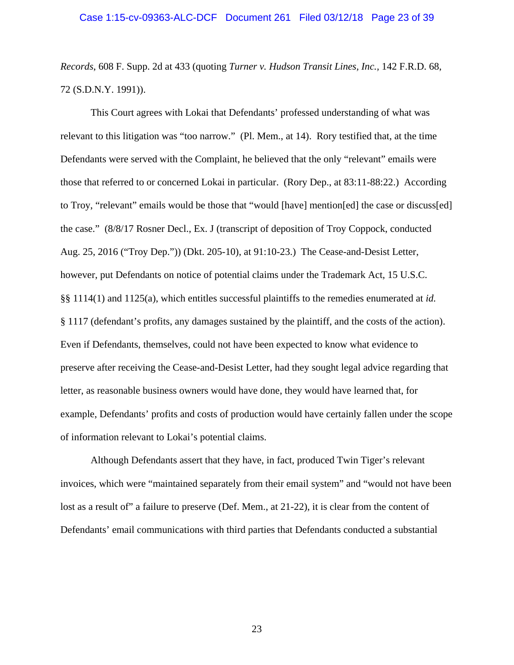*Records*, 608 F. Supp. 2d at 433 (quoting *Turner v. Hudson Transit Lines, Inc.,* 142 F.R.D. 68, 72 (S.D.N.Y. 1991)).

This Court agrees with Lokai that Defendants' professed understanding of what was relevant to this litigation was "too narrow." (Pl. Mem., at 14). Rory testified that, at the time Defendants were served with the Complaint, he believed that the only "relevant" emails were those that referred to or concerned Lokai in particular. (Rory Dep., at 83:11-88:22.) According to Troy, "relevant" emails would be those that "would [have] mention[ed] the case or discuss[ed] the case." (8/8/17 Rosner Decl., Ex. J (transcript of deposition of Troy Coppock, conducted Aug. 25, 2016 ("Troy Dep.")) (Dkt. 205-10), at 91:10-23.) The Cease-and-Desist Letter, however, put Defendants on notice of potential claims under the Trademark Act, 15 U.S.C. §§ 1114(1) and 1125(a), which entitles successful plaintiffs to the remedies enumerated at *id.*  § 1117 (defendant's profits, any damages sustained by the plaintiff, and the costs of the action). Even if Defendants, themselves, could not have been expected to know what evidence to preserve after receiving the Cease-and-Desist Letter, had they sought legal advice regarding that letter, as reasonable business owners would have done, they would have learned that, for example, Defendants' profits and costs of production would have certainly fallen under the scope of information relevant to Lokai's potential claims.

Although Defendants assert that they have, in fact, produced Twin Tiger's relevant invoices, which were "maintained separately from their email system" and "would not have been lost as a result of" a failure to preserve (Def. Mem., at 21-22), it is clear from the content of Defendants' email communications with third parties that Defendants conducted a substantial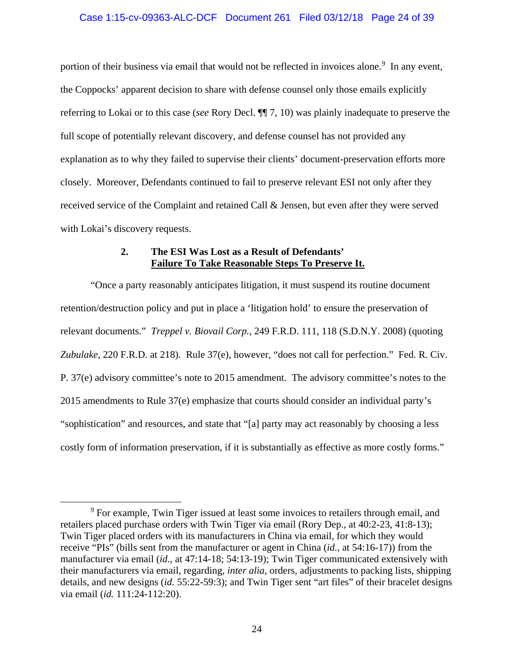# Case 1:15-cv-09363-ALC-DCF Document 261 Filed 03/12/18 Page 24 of 39

portion of their business via email that would not be reflected in invoices alone.<sup>[9](#page-23-0)</sup> In any event, the Coppocks' apparent decision to share with defense counsel only those emails explicitly referring to Lokai or to this case (*see* Rory Decl. ¶¶ 7, 10) was plainly inadequate to preserve the full scope of potentially relevant discovery, and defense counsel has not provided any explanation as to why they failed to supervise their clients' document-preservation efforts more closely. Moreover, Defendants continued to fail to preserve relevant ESI not only after they received service of the Complaint and retained Call & Jensen, but even after they were served with Lokai's discovery requests.

## **2. The ESI Was Lost as a Result of Defendants' Failure To Take Reasonable Steps To Preserve It.**

"Once a party reasonably anticipates litigation, it must suspend its routine document retention/destruction policy and put in place a 'litigation hold' to ensure the preservation of relevant documents." *Treppel v. Biovail Corp.*, 249 F.R.D. 111, 118 (S.D.N.Y. 2008) (quoting *Zubulake,* 220 F.R.D. at 218). Rule 37(e), however, "does not call for perfection." Fed. R. Civ. P. 37(e) advisory committee's note to 2015 amendment. The advisory committee's notes to the 2015 amendments to Rule 37(e) emphasize that courts should consider an individual party's "sophistication" and resources, and state that "[a] party may act reasonably by choosing a less costly form of information preservation, if it is substantially as effective as more costly forms."

<span id="page-23-0"></span><sup>&</sup>lt;sup>9</sup> For example, Twin Tiger issued at least some invoices to retailers through email, and retailers placed purchase orders with Twin Tiger via email (Rory Dep., at 40:2-23, 41:8-13); Twin Tiger placed orders with its manufacturers in China via email, for which they would receive "PIs" (bills sent from the manufacturer or agent in China (*id.*, at 54:16-17)) from the manufacturer via email (*id.*, at 47:14-18; 54:13-19); Twin Tiger communicated extensively with their manufacturers via email, regarding, *inter alia*, orders, adjustments to packing lists, shipping details, and new designs (*id.* 55:22-59:3); and Twin Tiger sent "art files" of their bracelet designs via email (*id.* 111:24-112:20).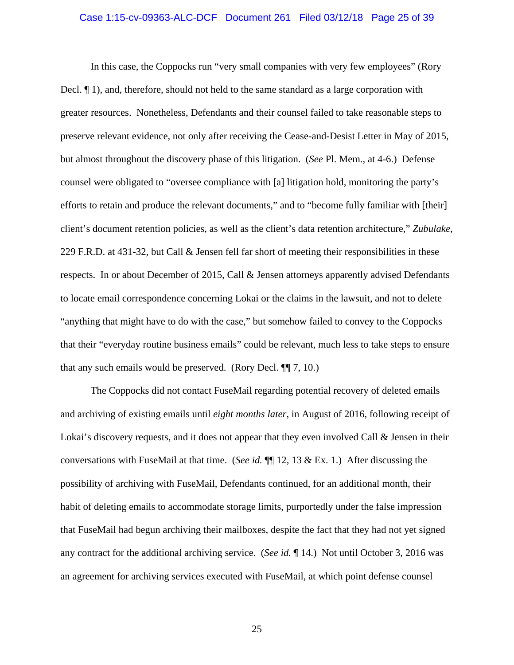# Case 1:15-cv-09363-ALC-DCF Document 261 Filed 03/12/18 Page 25 of 39

In this case, the Coppocks run "very small companies with very few employees" (Rory Decl. ¶ 1), and, therefore, should not held to the same standard as a large corporation with greater resources. Nonetheless, Defendants and their counsel failed to take reasonable steps to preserve relevant evidence, not only after receiving the Cease-and-Desist Letter in May of 2015, but almost throughout the discovery phase of this litigation. (*See* Pl. Mem., at 4-6.) Defense counsel were obligated to "oversee compliance with [a] litigation hold, monitoring the party's efforts to retain and produce the relevant documents," and to "become fully familiar with [their] client's document retention policies, as well as the client's data retention architecture," *Zubulake*, 229 F.R.D. at 431-32, but Call & Jensen fell far short of meeting their responsibilities in these respects. In or about December of 2015, Call & Jensen attorneys apparently advised Defendants to locate email correspondence concerning Lokai or the claims in the lawsuit, and not to delete "anything that might have to do with the case," but somehow failed to convey to the Coppocks that their "everyday routine business emails" could be relevant, much less to take steps to ensure that any such emails would be preserved. (Rory Decl. ¶¶ 7, 10.)

The Coppocks did not contact FuseMail regarding potential recovery of deleted emails and archiving of existing emails until *eight months later*, in August of 2016, following receipt of Lokai's discovery requests, and it does not appear that they even involved Call  $\&$  Jensen in their conversations with FuseMail at that time. (*See id.* ¶¶ 12, 13 & Ex. 1.) After discussing the possibility of archiving with FuseMail, Defendants continued, for an additional month, their habit of deleting emails to accommodate storage limits, purportedly under the false impression that FuseMail had begun archiving their mailboxes, despite the fact that they had not yet signed any contract for the additional archiving service. (*See id.* ¶ 14.) Not until October 3, 2016 was an agreement for archiving services executed with FuseMail, at which point defense counsel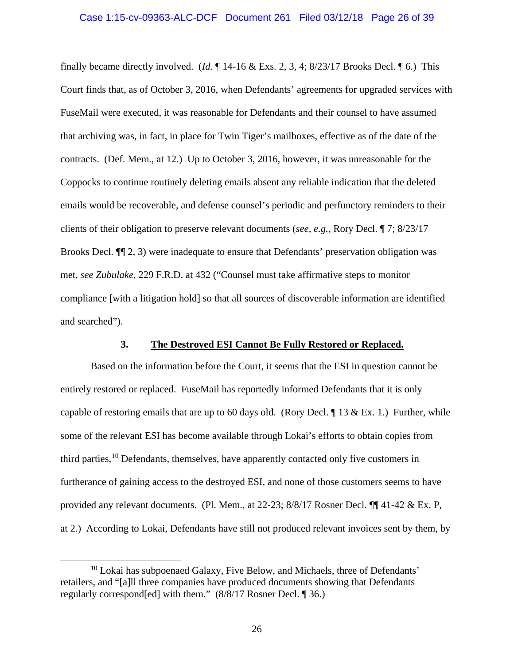finally became directly involved. (*Id.* ¶ 14-16 & Exs. 2, 3, 4; 8/23/17 Brooks Decl. ¶ 6.) This Court finds that, as of October 3, 2016, when Defendants' agreements for upgraded services with FuseMail were executed, it was reasonable for Defendants and their counsel to have assumed that archiving was, in fact, in place for Twin Tiger's mailboxes, effective as of the date of the contracts. (Def. Mem., at 12.) Up to October 3, 2016, however, it was unreasonable for the Coppocks to continue routinely deleting emails absent any reliable indication that the deleted emails would be recoverable, and defense counsel's periodic and perfunctory reminders to their clients of their obligation to preserve relevant documents (*see, e.g.*, Rory Decl. ¶ 7; 8/23/17 Brooks Decl.  $\P$  (2, 3) were inadequate to ensure that Defendants' preservation obligation was met, *see Zubulake*, 229 F.R.D. at 432 ("Counsel must take affirmative steps to monitor compliance [with a litigation hold] so that all sources of discoverable information are identified and searched").

## **3. The Destroyed ESI Cannot Be Fully Restored or Replaced.**

Based on the information before the Court, it seems that the ESI in question cannot be entirely restored or replaced. FuseMail has reportedly informed Defendants that it is only capable of restoring emails that are up to 60 days old. (Rory Decl.  $\P$  13 & Ex. 1.) Further, while some of the relevant ESI has become available through Lokai's efforts to obtain copies from third parties, [10](#page-25-0) Defendants, themselves, have apparently contacted only five customers in furtherance of gaining access to the destroyed ESI, and none of those customers seems to have provided any relevant documents. (Pl. Mem., at 22-23; 8/8/17 Rosner Decl. ¶¶ 41-42 & Ex. P, at 2.) According to Lokai, Defendants have still not produced relevant invoices sent by them, by

<span id="page-25-0"></span> $10$  Lokai has subpoenaed Galaxy, Five Below, and Michaels, three of Defendants' retailers, and "[a]ll three companies have produced documents showing that Defendants regularly correspond[ed] with them." (8/8/17 Rosner Decl. ¶ 36.)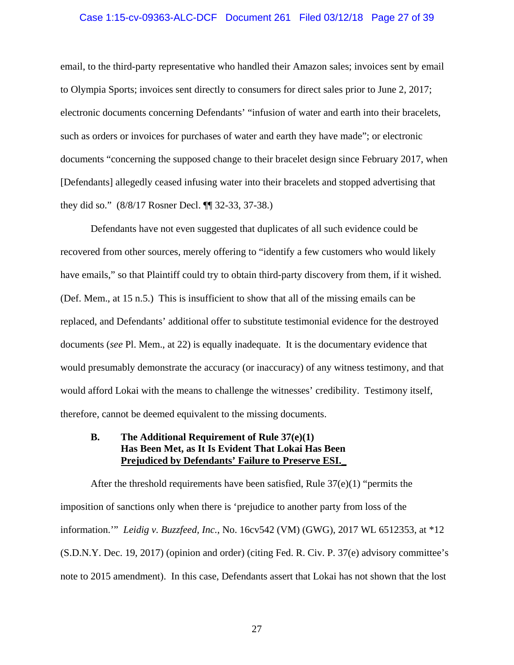# Case 1:15-cv-09363-ALC-DCF Document 261 Filed 03/12/18 Page 27 of 39

email, to the third-party representative who handled their Amazon sales; invoices sent by email to Olympia Sports; invoices sent directly to consumers for direct sales prior to June 2, 2017; electronic documents concerning Defendants' "infusion of water and earth into their bracelets, such as orders or invoices for purchases of water and earth they have made"; or electronic documents "concerning the supposed change to their bracelet design since February 2017, when [Defendants] allegedly ceased infusing water into their bracelets and stopped advertising that they did so." (8/8/17 Rosner Decl. ¶¶ 32-33, 37-38.)

Defendants have not even suggested that duplicates of all such evidence could be recovered from other sources, merely offering to "identify a few customers who would likely have emails," so that Plaintiff could try to obtain third-party discovery from them, if it wished. (Def. Mem., at 15 n.5.) This is insufficient to show that all of the missing emails can be replaced, and Defendants' additional offer to substitute testimonial evidence for the destroyed documents (*see* Pl. Mem., at 22) is equally inadequate. It is the documentary evidence that would presumably demonstrate the accuracy (or inaccuracy) of any witness testimony, and that would afford Lokai with the means to challenge the witnesses' credibility. Testimony itself, therefore, cannot be deemed equivalent to the missing documents.

## **B. The Additional Requirement of Rule 37(e)(1) Has Been Met, as It Is Evident That Lokai Has Been Prejudiced by Defendants' Failure to Preserve ESI.\_**

After the threshold requirements have been satisfied, Rule  $37(e)(1)$  "permits the imposition of sanctions only when there is 'prejudice to another party from loss of the information.'" *Leidig v. Buzzfeed, Inc.*, No. 16cv542 (VM) (GWG), 2017 WL 6512353, at \*12 (S.D.N.Y. Dec. 19, 2017) (opinion and order) (citing Fed. R. Civ. P. 37(e) advisory committee's note to 2015 amendment). In this case, Defendants assert that Lokai has not shown that the lost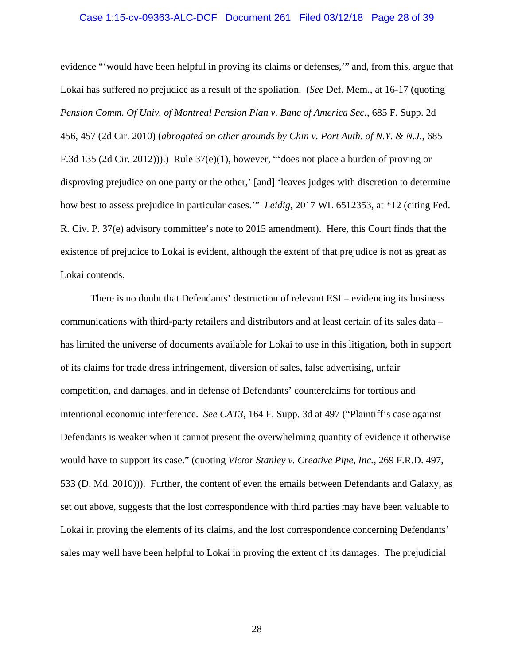# Case 1:15-cv-09363-ALC-DCF Document 261 Filed 03/12/18 Page 28 of 39

evidence "'would have been helpful in proving its claims or defenses,'" and, from this, argue that Lokai has suffered no prejudice as a result of the spoliation. (*See* Def. Mem., at 16-17 (quoting *Pension Comm. Of Univ. of Montreal Pension Plan v. Banc of America Sec.*, 685 F. Supp. 2d 456, 457 (2d Cir. 2010) (*abrogated on other grounds by Chin v. Port Auth. of N.Y. & N.J.*, 685 F.3d 135 (2d Cir. 2012))).) Rule 37(e)(1), however, "'does not place a burden of proving or disproving prejudice on one party or the other,' [and] 'leaves judges with discretion to determine how best to assess prejudice in particular cases.'" *Leidig*, 2017 WL 6512353, at \*12 (citing Fed. R. Civ. P. 37(e) advisory committee's note to 2015 amendment). Here, this Court finds that the existence of prejudice to Lokai is evident, although the extent of that prejudice is not as great as Lokai contends.

There is no doubt that Defendants' destruction of relevant ESI – evidencing its business communications with third-party retailers and distributors and at least certain of its sales data – has limited the universe of documents available for Lokai to use in this litigation, both in support of its claims for trade dress infringement, diversion of sales, false advertising, unfair competition, and damages, and in defense of Defendants' counterclaims for tortious and intentional economic interference. *See CAT3*, 164 F. Supp. 3d at 497 ("Plaintiff's case against Defendants is weaker when it cannot present the overwhelming quantity of evidence it otherwise would have to support its case." (quoting *Victor Stanley v. Creative Pipe, Inc.*, 269 F.R.D. 497, 533 (D. Md. 2010))). Further, the content of even the emails between Defendants and Galaxy, as set out above, suggests that the lost correspondence with third parties may have been valuable to Lokai in proving the elements of its claims, and the lost correspondence concerning Defendants' sales may well have been helpful to Lokai in proving the extent of its damages. The prejudicial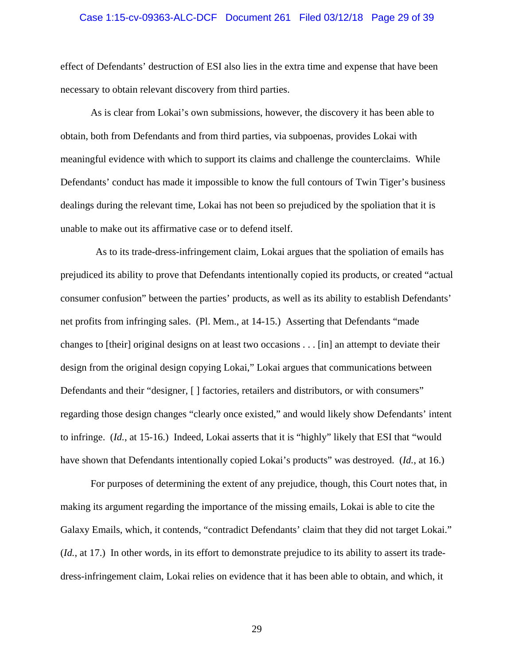# Case 1:15-cv-09363-ALC-DCF Document 261 Filed 03/12/18 Page 29 of 39

effect of Defendants' destruction of ESI also lies in the extra time and expense that have been necessary to obtain relevant discovery from third parties.

As is clear from Lokai's own submissions, however, the discovery it has been able to obtain, both from Defendants and from third parties, via subpoenas, provides Lokai with meaningful evidence with which to support its claims and challenge the counterclaims. While Defendants' conduct has made it impossible to know the full contours of Twin Tiger's business dealings during the relevant time, Lokai has not been so prejudiced by the spoliation that it is unable to make out its affirmative case or to defend itself.

 As to its trade-dress-infringement claim, Lokai argues that the spoliation of emails has prejudiced its ability to prove that Defendants intentionally copied its products, or created "actual consumer confusion" between the parties' products, as well as its ability to establish Defendants' net profits from infringing sales. (Pl. Mem., at 14-15.) Asserting that Defendants "made changes to [their] original designs on at least two occasions . . . [in] an attempt to deviate their design from the original design copying Lokai," Lokai argues that communications between Defendants and their "designer, [ ] factories, retailers and distributors, or with consumers" regarding those design changes "clearly once existed," and would likely show Defendants' intent to infringe. (*Id.*, at 15-16.) Indeed, Lokai asserts that it is "highly" likely that ESI that "would have shown that Defendants intentionally copied Lokai's products" was destroyed. (*Id.*, at 16.)

For purposes of determining the extent of any prejudice, though, this Court notes that, in making its argument regarding the importance of the missing emails, Lokai is able to cite the Galaxy Emails, which, it contends, "contradict Defendants' claim that they did not target Lokai." (*Id.*, at 17.) In other words, in its effort to demonstrate prejudice to its ability to assert its tradedress-infringement claim, Lokai relies on evidence that it has been able to obtain, and which, it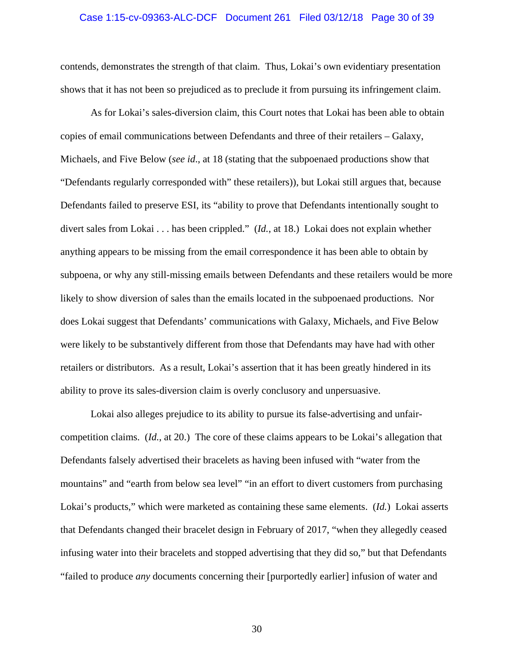# Case 1:15-cv-09363-ALC-DCF Document 261 Filed 03/12/18 Page 30 of 39

contends, demonstrates the strength of that claim. Thus, Lokai's own evidentiary presentation shows that it has not been so prejudiced as to preclude it from pursuing its infringement claim.

As for Lokai's sales-diversion claim, this Court notes that Lokai has been able to obtain copies of email communications between Defendants and three of their retailers – Galaxy, Michaels, and Five Below (*see id*., at 18 (stating that the subpoenaed productions show that "Defendants regularly corresponded with" these retailers)), but Lokai still argues that, because Defendants failed to preserve ESI, its "ability to prove that Defendants intentionally sought to divert sales from Lokai . . . has been crippled." (*Id.*, at 18.) Lokai does not explain whether anything appears to be missing from the email correspondence it has been able to obtain by subpoena, or why any still-missing emails between Defendants and these retailers would be more likely to show diversion of sales than the emails located in the subpoenaed productions. Nor does Lokai suggest that Defendants' communications with Galaxy, Michaels, and Five Below were likely to be substantively different from those that Defendants may have had with other retailers or distributors. As a result, Lokai's assertion that it has been greatly hindered in its ability to prove its sales-diversion claim is overly conclusory and unpersuasive.

Lokai also alleges prejudice to its ability to pursue its false-advertising and unfaircompetition claims. (*Id.*, at 20.) The core of these claims appears to be Lokai's allegation that Defendants falsely advertised their bracelets as having been infused with "water from the mountains" and "earth from below sea level" "in an effort to divert customers from purchasing Lokai's products," which were marketed as containing these same elements. (*Id.*) Lokai asserts that Defendants changed their bracelet design in February of 2017, "when they allegedly ceased infusing water into their bracelets and stopped advertising that they did so," but that Defendants "failed to produce *any* documents concerning their [purportedly earlier] infusion of water and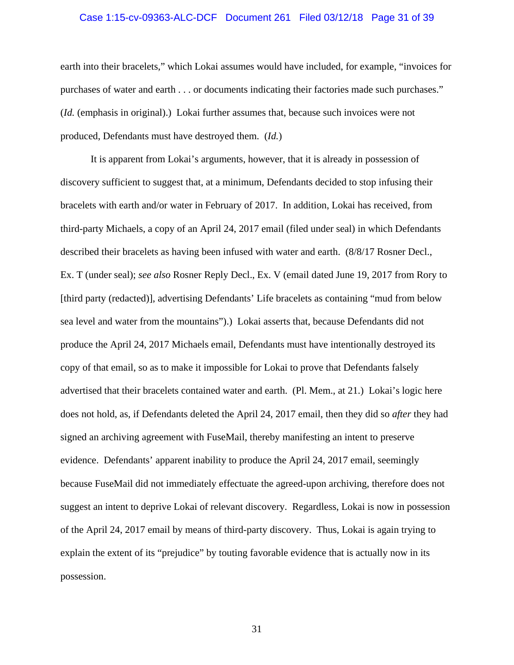# Case 1:15-cv-09363-ALC-DCF Document 261 Filed 03/12/18 Page 31 of 39

earth into their bracelets," which Lokai assumes would have included, for example, "invoices for purchases of water and earth . . . or documents indicating their factories made such purchases." (*Id.* (emphasis in original).) Lokai further assumes that, because such invoices were not produced, Defendants must have destroyed them. (*Id.*)

It is apparent from Lokai's arguments, however, that it is already in possession of discovery sufficient to suggest that, at a minimum, Defendants decided to stop infusing their bracelets with earth and/or water in February of 2017. In addition, Lokai has received, from third-party Michaels, a copy of an April 24, 2017 email (filed under seal) in which Defendants described their bracelets as having been infused with water and earth. (8/8/17 Rosner Decl., Ex. T (under seal); *see also* Rosner Reply Decl., Ex. V (email dated June 19, 2017 from Rory to [third party (redacted)], advertising Defendants' Life bracelets as containing "mud from below sea level and water from the mountains").) Lokai asserts that, because Defendants did not produce the April 24, 2017 Michaels email, Defendants must have intentionally destroyed its copy of that email, so as to make it impossible for Lokai to prove that Defendants falsely advertised that their bracelets contained water and earth. (Pl. Mem., at 21.) Lokai's logic here does not hold, as, if Defendants deleted the April 24, 2017 email, then they did so *after* they had signed an archiving agreement with FuseMail, thereby manifesting an intent to preserve evidence. Defendants' apparent inability to produce the April 24, 2017 email, seemingly because FuseMail did not immediately effectuate the agreed-upon archiving, therefore does not suggest an intent to deprive Lokai of relevant discovery. Regardless, Lokai is now in possession of the April 24, 2017 email by means of third-party discovery. Thus, Lokai is again trying to explain the extent of its "prejudice" by touting favorable evidence that is actually now in its possession.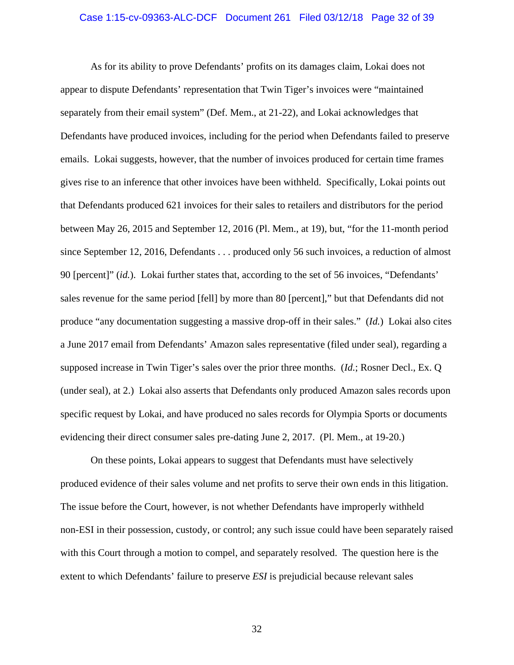# Case 1:15-cv-09363-ALC-DCF Document 261 Filed 03/12/18 Page 32 of 39

As for its ability to prove Defendants' profits on its damages claim, Lokai does not appear to dispute Defendants' representation that Twin Tiger's invoices were "maintained separately from their email system" (Def. Mem., at 21-22), and Lokai acknowledges that Defendants have produced invoices, including for the period when Defendants failed to preserve emails. Lokai suggests, however, that the number of invoices produced for certain time frames gives rise to an inference that other invoices have been withheld. Specifically, Lokai points out that Defendants produced 621 invoices for their sales to retailers and distributors for the period between May 26, 2015 and September 12, 2016 (Pl. Mem., at 19), but, "for the 11-month period since September 12, 2016, Defendants . . . produced only 56 such invoices, a reduction of almost 90 [percent]" (*id.*). Lokai further states that, according to the set of 56 invoices, "Defendants' sales revenue for the same period [fell] by more than 80 [percent]," but that Defendants did not produce "any documentation suggesting a massive drop-off in their sales." (*Id.*) Lokai also cites a June 2017 email from Defendants' Amazon sales representative (filed under seal), regarding a supposed increase in Twin Tiger's sales over the prior three months. (*Id.*; Rosner Decl., Ex. Q (under seal), at 2.) Lokai also asserts that Defendants only produced Amazon sales records upon specific request by Lokai, and have produced no sales records for Olympia Sports or documents evidencing their direct consumer sales pre-dating June 2, 2017. (Pl. Mem., at 19-20.)

On these points, Lokai appears to suggest that Defendants must have selectively produced evidence of their sales volume and net profits to serve their own ends in this litigation. The issue before the Court, however, is not whether Defendants have improperly withheld non-ESI in their possession, custody, or control; any such issue could have been separately raised with this Court through a motion to compel, and separately resolved. The question here is the extent to which Defendants' failure to preserve *ESI* is prejudicial because relevant sales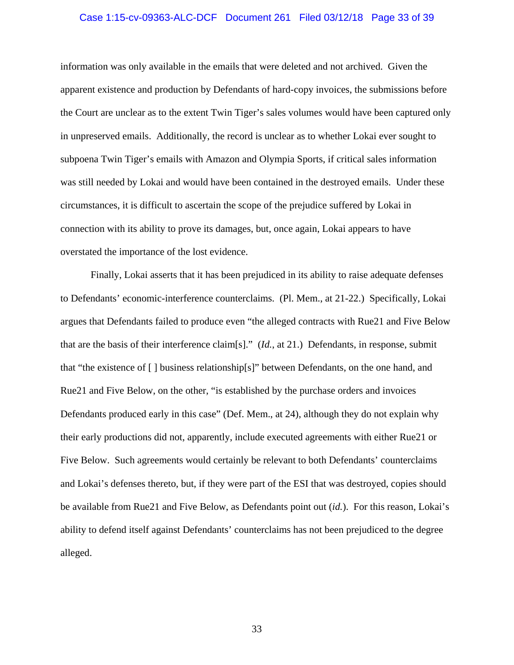# Case 1:15-cv-09363-ALC-DCF Document 261 Filed 03/12/18 Page 33 of 39

information was only available in the emails that were deleted and not archived. Given the apparent existence and production by Defendants of hard-copy invoices, the submissions before the Court are unclear as to the extent Twin Tiger's sales volumes would have been captured only in unpreserved emails. Additionally, the record is unclear as to whether Lokai ever sought to subpoena Twin Tiger's emails with Amazon and Olympia Sports, if critical sales information was still needed by Lokai and would have been contained in the destroyed emails. Under these circumstances, it is difficult to ascertain the scope of the prejudice suffered by Lokai in connection with its ability to prove its damages, but, once again, Lokai appears to have overstated the importance of the lost evidence.

Finally, Lokai asserts that it has been prejudiced in its ability to raise adequate defenses to Defendants' economic-interference counterclaims. (Pl. Mem., at 21-22.) Specifically, Lokai argues that Defendants failed to produce even "the alleged contracts with Rue21 and Five Below that are the basis of their interference claim[s]." (*Id.*, at 21.) Defendants, in response, submit that "the existence of [ ] business relationship[s]" between Defendants, on the one hand, and Rue21 and Five Below, on the other, "is established by the purchase orders and invoices Defendants produced early in this case" (Def. Mem., at 24), although they do not explain why their early productions did not, apparently, include executed agreements with either Rue21 or Five Below. Such agreements would certainly be relevant to both Defendants' counterclaims and Lokai's defenses thereto, but, if they were part of the ESI that was destroyed, copies should be available from Rue21 and Five Below, as Defendants point out (*id.*). For this reason, Lokai's ability to defend itself against Defendants' counterclaims has not been prejudiced to the degree alleged.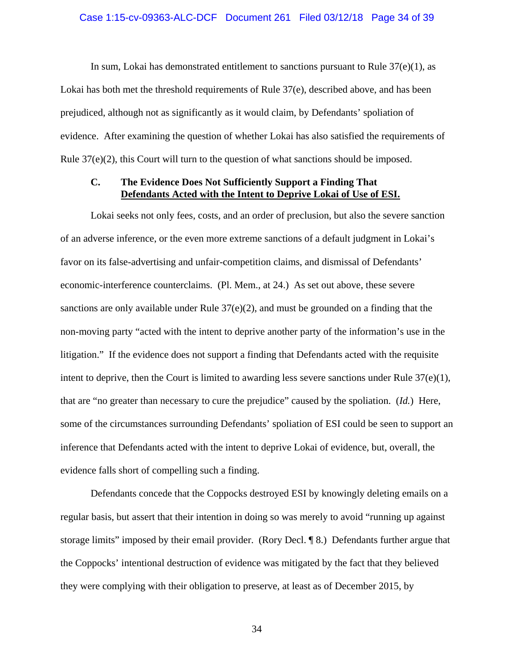### Case 1:15-cv-09363-ALC-DCF Document 261 Filed 03/12/18 Page 34 of 39

In sum, Lokai has demonstrated entitlement to sanctions pursuant to Rule  $37(e)(1)$ , as Lokai has both met the threshold requirements of Rule 37(e), described above, and has been prejudiced, although not as significantly as it would claim, by Defendants' spoliation of evidence. After examining the question of whether Lokai has also satisfied the requirements of Rule  $37(e)(2)$ , this Court will turn to the question of what sanctions should be imposed.

## **C. The Evidence Does Not Sufficiently Support a Finding That Defendants Acted with the Intent to Deprive Lokai of Use of ESI.**

Lokai seeks not only fees, costs, and an order of preclusion, but also the severe sanction of an adverse inference, or the even more extreme sanctions of a default judgment in Lokai's favor on its false-advertising and unfair-competition claims, and dismissal of Defendants' economic-interference counterclaims. (Pl. Mem., at 24.) As set out above, these severe sanctions are only available under Rule  $37(e)(2)$ , and must be grounded on a finding that the non-moving party "acted with the intent to deprive another party of the information's use in the litigation." If the evidence does not support a finding that Defendants acted with the requisite intent to deprive, then the Court is limited to awarding less severe sanctions under Rule  $37(e)(1)$ , that are "no greater than necessary to cure the prejudice" caused by the spoliation. (*Id.*) Here, some of the circumstances surrounding Defendants' spoliation of ESI could be seen to support an inference that Defendants acted with the intent to deprive Lokai of evidence, but, overall, the evidence falls short of compelling such a finding.

Defendants concede that the Coppocks destroyed ESI by knowingly deleting emails on a regular basis, but assert that their intention in doing so was merely to avoid "running up against storage limits" imposed by their email provider. (Rory Decl. ¶ 8.) Defendants further argue that the Coppocks' intentional destruction of evidence was mitigated by the fact that they believed they were complying with their obligation to preserve, at least as of December 2015, by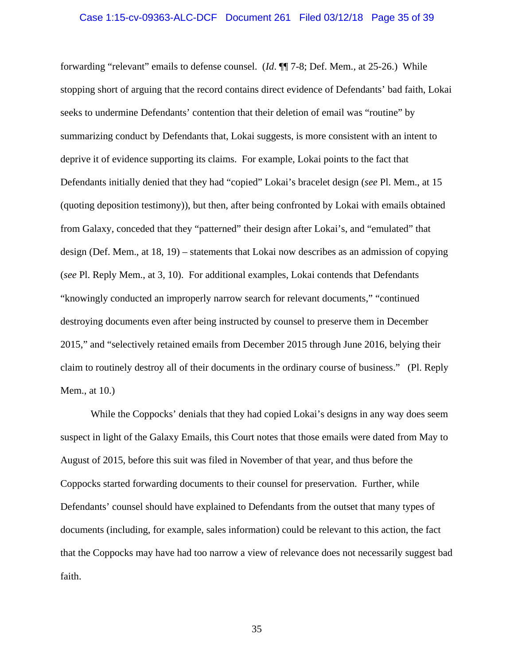# Case 1:15-cv-09363-ALC-DCF Document 261 Filed 03/12/18 Page 35 of 39

forwarding "relevant" emails to defense counsel. (*Id*. ¶¶ 7-8; Def. Mem., at 25-26.) While stopping short of arguing that the record contains direct evidence of Defendants' bad faith, Lokai seeks to undermine Defendants' contention that their deletion of email was "routine" by summarizing conduct by Defendants that, Lokai suggests, is more consistent with an intent to deprive it of evidence supporting its claims. For example, Lokai points to the fact that Defendants initially denied that they had "copied" Lokai's bracelet design (*see* Pl. Mem., at 15 (quoting deposition testimony)), but then, after being confronted by Lokai with emails obtained from Galaxy, conceded that they "patterned" their design after Lokai's, and "emulated" that design (Def. Mem., at 18, 19) – statements that Lokai now describes as an admission of copying (*see* Pl. Reply Mem., at 3, 10). For additional examples, Lokai contends that Defendants "knowingly conducted an improperly narrow search for relevant documents," "continued destroying documents even after being instructed by counsel to preserve them in December 2015," and "selectively retained emails from December 2015 through June 2016, belying their claim to routinely destroy all of their documents in the ordinary course of business." (Pl. Reply Mem., at 10.)

While the Coppocks' denials that they had copied Lokai's designs in any way does seem suspect in light of the Galaxy Emails, this Court notes that those emails were dated from May to August of 2015, before this suit was filed in November of that year, and thus before the Coppocks started forwarding documents to their counsel for preservation. Further, while Defendants' counsel should have explained to Defendants from the outset that many types of documents (including, for example, sales information) could be relevant to this action, the fact that the Coppocks may have had too narrow a view of relevance does not necessarily suggest bad faith.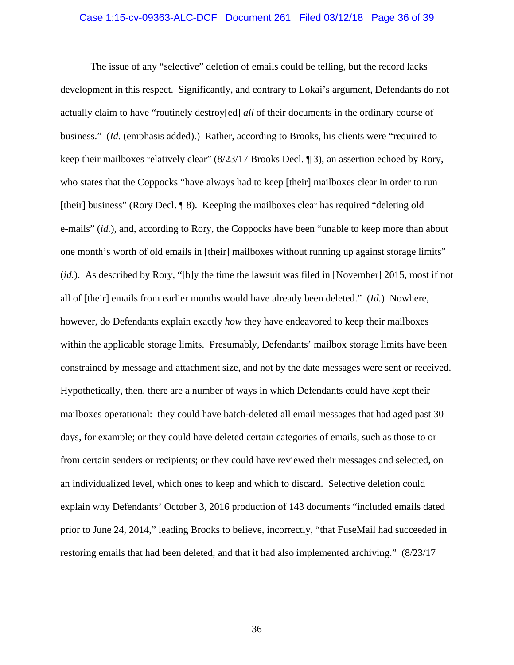# Case 1:15-cv-09363-ALC-DCF Document 261 Filed 03/12/18 Page 36 of 39

The issue of any "selective" deletion of emails could be telling, but the record lacks development in this respect. Significantly, and contrary to Lokai's argument, Defendants do not actually claim to have "routinely destroy[ed] *all* of their documents in the ordinary course of business." (*Id.* (emphasis added).) Rather, according to Brooks, his clients were "required to keep their mailboxes relatively clear" (8/23/17 Brooks Decl. ¶ 3), an assertion echoed by Rory, who states that the Coppocks "have always had to keep [their] mailboxes clear in order to run [their] business" (Rory Decl. ¶ 8). Keeping the mailboxes clear has required "deleting old e-mails" (*id.*), and, according to Rory, the Coppocks have been "unable to keep more than about one month's worth of old emails in [their] mailboxes without running up against storage limits" (*id.*). As described by Rory, "[b]y the time the lawsuit was filed in [November] 2015, most if not all of [their] emails from earlier months would have already been deleted." (*Id.*) Nowhere, however, do Defendants explain exactly *how* they have endeavored to keep their mailboxes within the applicable storage limits. Presumably, Defendants' mailbox storage limits have been constrained by message and attachment size, and not by the date messages were sent or received. Hypothetically, then, there are a number of ways in which Defendants could have kept their mailboxes operational: they could have batch-deleted all email messages that had aged past 30 days, for example; or they could have deleted certain categories of emails, such as those to or from certain senders or recipients; or they could have reviewed their messages and selected, on an individualized level, which ones to keep and which to discard. Selective deletion could explain why Defendants' October 3, 2016 production of 143 documents "included emails dated prior to June 24, 2014," leading Brooks to believe, incorrectly, "that FuseMail had succeeded in restoring emails that had been deleted, and that it had also implemented archiving." (8/23/17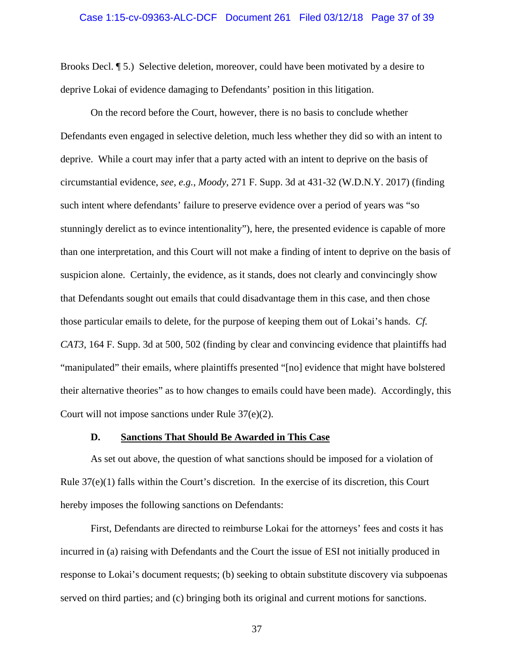# Case 1:15-cv-09363-ALC-DCF Document 261 Filed 03/12/18 Page 37 of 39

Brooks Decl. ¶ 5.) Selective deletion, moreover, could have been motivated by a desire to deprive Lokai of evidence damaging to Defendants' position in this litigation.

On the record before the Court, however, there is no basis to conclude whether Defendants even engaged in selective deletion, much less whether they did so with an intent to deprive. While a court may infer that a party acted with an intent to deprive on the basis of circumstantial evidence, *see, e.g.*, *Moody*, 271 F. Supp. 3d at 431-32 (W.D.N.Y. 2017) (finding such intent where defendants' failure to preserve evidence over a period of years was "so stunningly derelict as to evince intentionality"), here, the presented evidence is capable of more than one interpretation, and this Court will not make a finding of intent to deprive on the basis of suspicion alone. Certainly, the evidence, as it stands, does not clearly and convincingly show that Defendants sought out emails that could disadvantage them in this case, and then chose those particular emails to delete, for the purpose of keeping them out of Lokai's hands. *Cf. CAT3*, 164 F. Supp. 3d at 500, 502 (finding by clear and convincing evidence that plaintiffs had "manipulated" their emails, where plaintiffs presented "[no] evidence that might have bolstered their alternative theories" as to how changes to emails could have been made). Accordingly, this Court will not impose sanctions under Rule 37(e)(2).

#### **D. Sanctions That Should Be Awarded in This Case**

As set out above, the question of what sanctions should be imposed for a violation of Rule  $37(e)(1)$  falls within the Court's discretion. In the exercise of its discretion, this Court hereby imposes the following sanctions on Defendants:

First, Defendants are directed to reimburse Lokai for the attorneys' fees and costs it has incurred in (a) raising with Defendants and the Court the issue of ESI not initially produced in response to Lokai's document requests; (b) seeking to obtain substitute discovery via subpoenas served on third parties; and (c) bringing both its original and current motions for sanctions.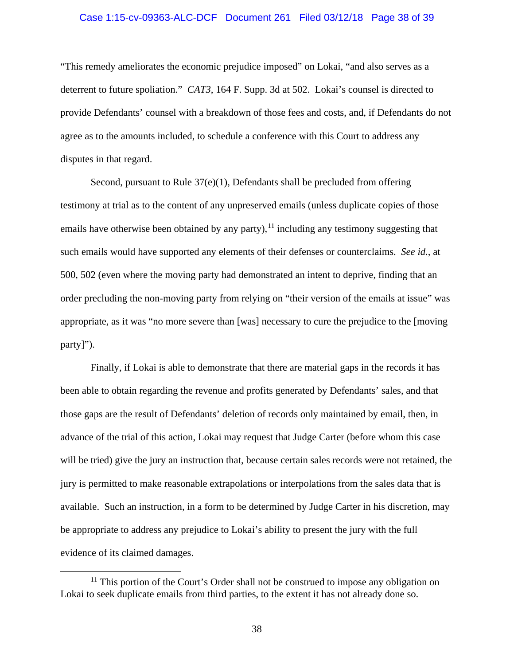# Case 1:15-cv-09363-ALC-DCF Document 261 Filed 03/12/18 Page 38 of 39

"This remedy ameliorates the economic prejudice imposed" on Lokai, "and also serves as a deterrent to future spoliation." *CAT3*, 164 F. Supp. 3d at 502. Lokai's counsel is directed to provide Defendants' counsel with a breakdown of those fees and costs, and, if Defendants do not agree as to the amounts included, to schedule a conference with this Court to address any disputes in that regard.

Second, pursuant to Rule  $37(e)(1)$ , Defendants shall be precluded from offering testimony at trial as to the content of any unpreserved emails (unless duplicate copies of those emails have otherwise been obtained by any party),  $11$  including any testimony suggesting that such emails would have supported any elements of their defenses or counterclaims. *See id.*, at 500, 502 (even where the moving party had demonstrated an intent to deprive, finding that an order precluding the non-moving party from relying on "their version of the emails at issue" was appropriate, as it was "no more severe than [was] necessary to cure the prejudice to the [moving party]").

Finally, if Lokai is able to demonstrate that there are material gaps in the records it has been able to obtain regarding the revenue and profits generated by Defendants' sales, and that those gaps are the result of Defendants' deletion of records only maintained by email, then, in advance of the trial of this action, Lokai may request that Judge Carter (before whom this case will be tried) give the jury an instruction that, because certain sales records were not retained, the jury is permitted to make reasonable extrapolations or interpolations from the sales data that is available. Such an instruction, in a form to be determined by Judge Carter in his discretion, may be appropriate to address any prejudice to Lokai's ability to present the jury with the full evidence of its claimed damages.

<span id="page-37-0"></span> $11$ <sup>11</sup> This portion of the Court's Order shall not be construed to impose any obligation on Lokai to seek duplicate emails from third parties, to the extent it has not already done so.